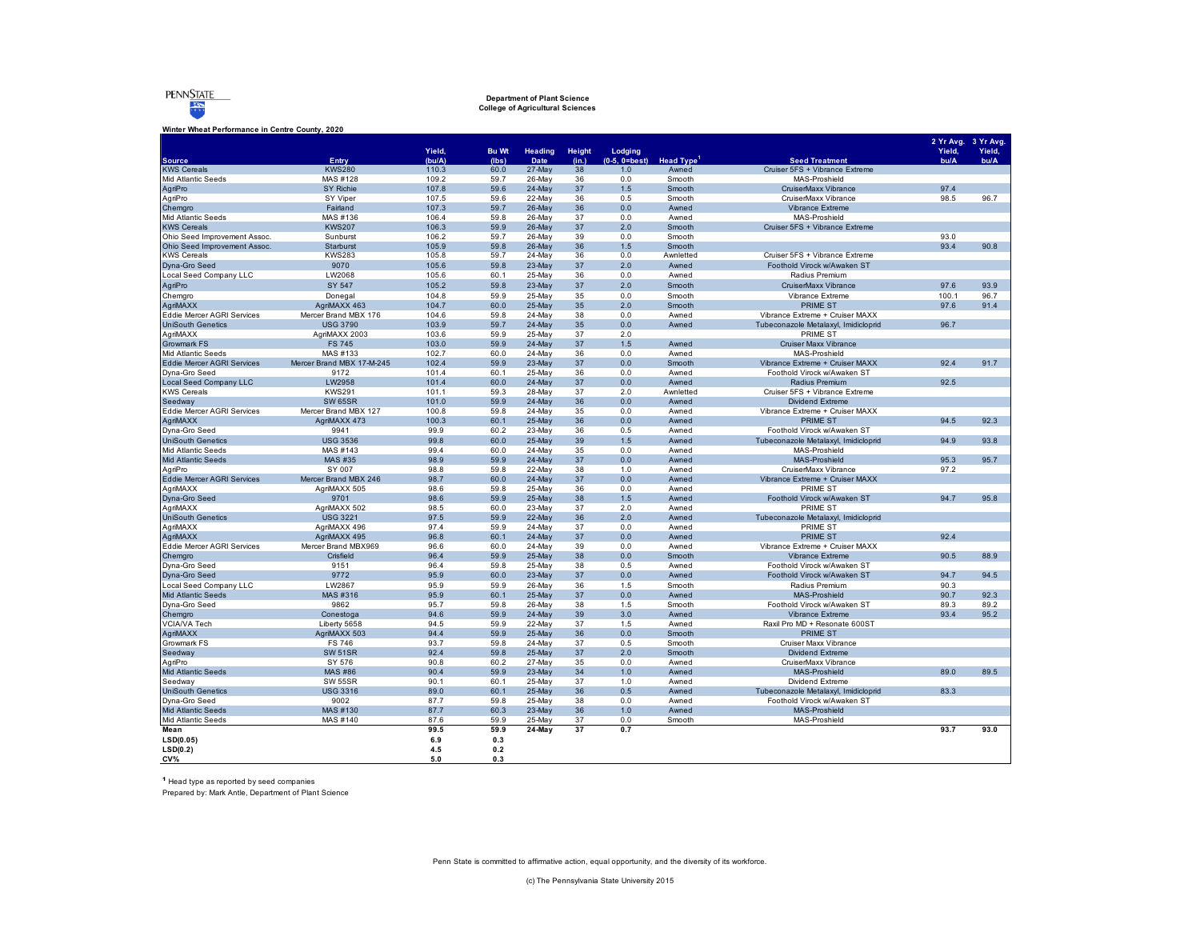

# **Department of Plant Science College of Agricultural Sciences**

**Winter Wheat Performance in Centre County, 2020**

| Yield,<br><b>Bu Wt</b><br>Yield,<br>Yield,<br>Heading<br>Height<br>Lodging<br>Entry<br>(bu/A)<br>Date<br>$(0-5, 0=best)$<br>Head Type <sup>1</sup><br><b>Seed Treatment</b><br>bu/A<br>bu/A<br><b>Source</b><br>(lbs)<br>(in.)<br><b>KWS Cereals</b><br><b>KWS280</b><br>27-May<br>Cruiser 5FS + Vibrance Extreme<br>110.3<br>60.0<br>38<br>1.0<br>Awned<br>Mid Atlantic Seeds<br>109.2<br>26-May<br>Smooth<br>MAS-Proshield<br>MAS #128<br>59.7<br>36<br>0.0<br>AgriPro<br>107.8<br>59.6<br>CruiserMaxx Vibrance<br>97.4<br><b>SY Richie</b><br>24-May<br>37<br>1.5<br>Smooth<br>AgriPro<br>107.5<br>59.6<br>22-May<br>36<br>0.5<br>CruiserMaxx Vibrance<br>98.5<br>96.7<br>SY Viper<br>Smooth<br>107.3<br>59.7<br>26-May<br>Vibrance Extreme<br>Chemgro<br>Fairland<br>36<br>0.0<br>Awned<br>Mid Atlantic Seeds<br>MAS-Proshield<br>MAS #136<br>106.4<br>59.8<br>26-May<br>37<br>0.0<br>Awned<br><b>KWS Cereals</b><br>59.9<br>37<br>2.0<br>Cruiser 5FS + Vibrance Extreme<br><b>KWS207</b><br>106.3<br>$26$ -May<br>Smooth<br>106.2<br>59.7<br>39<br>0.0<br>93.0<br>Ohio Seed Improvement Assoc.<br>Sunburst<br>26-May<br>Smooth<br>Ohio Seed Improvement Assoc.<br>Starburst<br>105.9<br>59.8<br>$26$ -May<br>36<br>1.5<br>Smooth<br>93.4<br>90.8<br><b>KWS Cereals</b><br><b>KWS283</b><br>105.8<br>59.7<br>24-May<br>36<br>0.0<br>Cruiser 5FS + Vibrance Extreme<br>Awnletted<br>Dyna-Gro Seed<br>9070<br>105.6<br>59.8<br>23-May<br>37<br>2.0<br>Awned<br>Foothold Virock w/Awaken ST<br>LW2068<br>105.6<br>Local Seed Company LLC<br>60.1<br>25-May<br>36<br>0.0<br>Radius Premium<br>Awned<br>SY 547<br>105.2<br>59.8<br>23-May<br>37<br>2.0<br>Smooth<br>CruiserMaxx Vibrance<br>97.6<br>93.9<br>AgriPro<br>Vibrance Extreme<br>100.1<br>Chemgro<br>Donegal<br>104.8<br>59.9<br>25-May<br>35<br>0.0<br>Smooth<br>96.7<br>AgriMAXX<br>60.0<br>35<br>2.0<br><b>PRIME ST</b><br>97.6<br>AgriMAXX 463<br>104.7<br>$25$ -May<br>Smooth<br>91.4<br>Eddie Mercer AGRI Services<br>104.6<br>59.8<br>38<br>0.0<br>Mercer Brand MBX 176<br>24-May<br>Awned<br>Vibrance Extreme + Cruiser MAXX<br><b>UniSouth Genetics</b><br><b>USG 3790</b><br>103.9<br>59.7<br>24-May<br>35<br>0.0<br>Tubeconazole Metalaxyl, Imidicloprid<br>96.7<br>Awned<br>AgriMAXX<br>103.6<br>59.9<br>25-May<br>37<br>PRIME ST<br>AgriMAXX 2003<br>2.0<br>103.0<br>59.9<br><b>Cruiser Maxx Vibrance</b><br><b>Growmark FS</b><br><b>FS 745</b><br>24-May<br>37<br>1.5<br>Awned<br>Mid Atlantic Seeds<br>MAS #133<br>102.7<br>60.0<br>36<br>MAS-Proshield<br>24-May<br>0.0<br>Awned<br><b>Eddie Mercer AGRI Services</b><br>Mercer Brand MBX 17-M-245<br>102.4<br>59.9<br>23-May<br>37<br>0.0<br>Smooth<br>Vibrance Extreme + Cruiser MAXX<br>92.4<br>91.7<br>Dyna-Gro Seed<br>9172<br>101.4<br>60.1<br>25-May<br>36<br>0.0<br>Awned<br>Foothold Virock w/Awaken ST<br><b>Local Seed Company LLC</b><br>101.4<br>60.0<br>24-May<br>37<br>0.0<br>Radius Premium<br>92.5<br>LW2958<br>Awned<br><b>KWS Cereals</b><br>37<br>Cruiser 5FS + Vibrance Extreme<br><b>KWS291</b><br>101.1<br>59.3<br>28-May<br>2.0<br>Awnletted<br>59.9<br><b>SW 65SR</b><br>101.0<br>24-May<br>36<br>0.0<br><b>Dividend Extreme</b><br>Seedway<br>Awned<br>Eddie Mercer AGRI Services<br>100.8<br>59.8<br>24-May<br>35<br>0.0<br>Vibrance Extreme + Cruiser MAXX<br>Mercer Brand MBX 127<br>Awned<br>PRIME ST<br>92.3<br>AgriMAXX<br>AgriMAXX 473<br>100.3<br>60.1<br>25-May<br>36<br>0.0<br>Awned<br>94.5<br>Dyna-Gro Seed<br>9941<br>99.9<br>60.2<br>23-May<br>36<br>0.5<br>Foothold Virock w/Awaken ST<br>Awned<br><b>UniSouth Genetics</b><br><b>USG 3536</b><br>99.8<br>60.0<br>39<br>Tubeconazole Metalaxyl, Imidicloprid<br>94.9<br>93.8<br>$25$ -May<br>1.5<br>Awned<br>35<br>Mid Atlantic Seeds<br>MAS #143<br>99.4<br>60.0<br>24-May<br>0.0<br>MAS-Proshield<br>Awned<br><b>Mid Atlantic Seeds</b><br><b>MAS #35</b><br>98.9<br>59.9<br>24-May<br>37<br>0.0<br>Awned<br>MAS-Proshield<br>95.3<br>95.7<br>SY 007<br>98.8<br>59.8<br>38<br>97.2<br>AgriPro<br>22-May<br>1.0<br>Awned<br>CruiserMaxx Vibrance<br><b>Eddie Mercer AGRI Services</b><br>Mercer Brand MBX 246<br>98.7<br>60.0<br>0.0<br>Vibrance Extreme + Cruiser MAXX<br>24-May<br>37<br>Awned<br>AgriMAXX<br>AgriMAXX 505<br>98.6<br>59.8<br>25-May<br>36<br>0.0<br><b>PRIME ST</b><br>Awned<br>98.6<br>59.9<br>25-May<br>38<br>94.7<br>95.8<br>Dyna-Gro Seed<br>9701<br>1.5<br>Awned<br>Foothold Virock w/Awaken ST<br>AgriMAXX<br>AgriMAXX 502<br>PRIME ST<br>98.5<br>60.0<br>23-May<br>37<br>2.0<br>Awned<br><b>UniSouth Genetics</b><br><b>USG 3221</b><br>97.5<br>59.9<br>36<br>2.0<br>Tubeconazole Metalaxyl, Imidicloprid<br>22-May<br>Awned<br>AgriMAXX<br>97.4<br>24-May<br>37<br>0.0<br><b>PRIME ST</b><br>AgriMAXX 496<br>59.9<br>Awned<br><b>PRIME ST</b><br>AgriMAXX<br>AgriMAXX 495<br>96.8<br>60.1<br>24-May<br>37<br>0.0<br>92.4<br>Awned<br>Eddie Mercer AGRI Services<br>96.6<br>60.0<br>39<br>0.0<br>Vibrance Extreme + Cruiser MAXX<br>Mercer Brand MBX969<br>24-May<br>Awned<br>Vibrance Extreme<br>90.5<br>88.9<br>Chemaro<br>Crisfield<br>96.4<br>59.9<br>25-May<br>38<br>0.0<br>Smooth<br>Dyna-Gro Seed<br>9151<br>96.4<br>59.8<br>25-May<br>38<br>0.5<br>Foothold Virock w/Awaken ST<br>Awned<br>Dyna-Gro Seed<br>9772<br>95.9<br>60.0<br>23-May<br>37<br>0.0<br>Foothold Virock w/Awaken ST<br>94.7<br>94.5<br>Awned<br>Local Seed Company LLC<br>LW2867<br>95.9<br>59.9<br>26-May<br>36<br>1.5<br>Smooth<br>Radius Premium<br>90.3<br>95.9<br>92.3<br>Mid Atlantic Seeds<br>MAS #316<br>60.1<br>25-May<br>37<br>0.0<br>MAS-Proshield<br>90.7<br>Awned<br>Dyna-Gro Seed<br>9862<br>95.7<br>59.8<br>26-May<br>38<br>1.5<br>Foothold Virock w/Awaken ST<br>89.3<br>89.2<br>Smooth<br>Chemgro<br>Conestoga<br>94.6<br>59.9<br>24-May<br>39<br>3.0<br>Vibrance Extreme<br>93.4<br>95.2<br>Awned<br>VCIA/VA Tech<br>94.5<br>59.9<br>22-May<br>37<br>1.5<br>Raxil Pro MD + Resonate 600ST<br>Liberty 5658<br>Awned<br>59.9<br><b>PRIME ST</b><br>AgriMAXX<br>AgriMAXX 503<br>94.4<br>25-May<br>36<br>0.0<br>Smooth<br>37<br>Growmark FS<br><b>FS 746</b><br>93.7<br>59.8<br>24-May<br>0.5<br>Smooth<br>Cruiser Maxx Vibrance<br>SW 51SR<br>92.4<br>59.8<br>25-May<br>2.0<br><b>Dividend Extreme</b><br>Seedway<br>37<br>Smooth<br>90.8<br>35<br>AgriPro<br>SY 576<br>60.2<br>27-May<br>0.0<br>CruiserMaxx Vibrance<br>Awned<br>Mid Atlantic Seeds<br><b>MAS #86</b><br>90.4<br>59.9<br>23-May<br>34<br>1.0<br>Awned<br>MAS-Proshield<br>89.0<br>89.5<br>37<br>Seedway<br><b>SW 55SR</b><br>90.1<br>60.1<br>25-May<br>1.0<br>Awned<br>Dividend Extreme<br><b>UniSouth Genetics</b><br><b>USG 3316</b><br>89.0<br>60.1<br>25-May<br>36<br>83.3<br>0.5<br>Awned<br>Tubeconazole Metalaxyl, Imidicloprid<br>Dvna-Gro Seed<br>9002<br>87.7<br>59.8<br>25-May<br>38<br>0.0<br>Foothold Virock w/Awaken ST<br>Awned<br>87.7<br>60.3<br>23-May<br>36<br>1.0<br>MAS-Proshield<br>Mid Atlantic Seeds<br>MAS #130<br>Awned<br>Mid Atlantic Seeds<br>MAS #140<br>87.6<br>59.9<br>25-May<br>37<br>0.0<br>Smooth<br>MAS-Proshield<br>99.5<br>59.9<br>37<br>93.7<br>93.0<br>Mean<br>24-May<br>0.7<br>LSD(0.05)<br>6.9<br>0.3<br>LSD(0.2)<br>4.5<br>0.2<br>CV%<br>5.0<br>0.3 |  |  |  |  |  | 2 Yr Avg. 3 Yr Avg. |
|---------------------------------------------------------------------------------------------------------------------------------------------------------------------------------------------------------------------------------------------------------------------------------------------------------------------------------------------------------------------------------------------------------------------------------------------------------------------------------------------------------------------------------------------------------------------------------------------------------------------------------------------------------------------------------------------------------------------------------------------------------------------------------------------------------------------------------------------------------------------------------------------------------------------------------------------------------------------------------------------------------------------------------------------------------------------------------------------------------------------------------------------------------------------------------------------------------------------------------------------------------------------------------------------------------------------------------------------------------------------------------------------------------------------------------------------------------------------------------------------------------------------------------------------------------------------------------------------------------------------------------------------------------------------------------------------------------------------------------------------------------------------------------------------------------------------------------------------------------------------------------------------------------------------------------------------------------------------------------------------------------------------------------------------------------------------------------------------------------------------------------------------------------------------------------------------------------------------------------------------------------------------------------------------------------------------------------------------------------------------------------------------------------------------------------------------------------------------------------------------------------------------------------------------------------------------------------------------------------------------------------------------------------------------------------------------------------------------------------------------------------------------------------------------------------------------------------------------------------------------------------------------------------------------------------------------------------------------------------------------------------------------------------------------------------------------------------------------------------------------------------------------------------------------------------------------------------------------------------------------------------------------------------------------------------------------------------------------------------------------------------------------------------------------------------------------------------------------------------------------------------------------------------------------------------------------------------------------------------------------------------------------------------------------------------------------------------------------------------------------------------------------------------------------------------------------------------------------------------------------------------------------------------------------------------------------------------------------------------------------------------------------------------------------------------------------------------------------------------------------------------------------------------------------------------------------------------------------------------------------------------------------------------------------------------------------------------------------------------------------------------------------------------------------------------------------------------------------------------------------------------------------------------------------------------------------------------------------------------------------------------------------------------------------------------------------------------------------------------------------------------------------------------------------------------------------------------------------------------------------------------------------------------------------------------------------------------------------------------------------------------------------------------------------------------------------------------------------------------------------------------------------------------------------------------------------------------------------------------------------------------------------------------------------------------------------------------------------------------------------------------------------------------------------------------------------------------------------------------------------------------------------------------------------------------------------------------------------------------------------------------------------------------------------------------------------------------------------------------------------------------------------------------------------------------------------------------------------------------------------------------------------------------------------------------------------------------------------------------------------------------------------------------------------------------------------------------------------------------------------------------------------------------------------------------------------------------------------------------------------------------------------------------------------------------------------------------------------------------------------------------------------------------------------------------------------------------------------------------------------------------------------------------------------------------------------------------------------------------------------------------------------------------------------------------------------------------------------------------------------------------------------------------------------------------------------------------------------------------------------------------------------------------------------------------------------------------------------------------------------------------------------------------------------------------------------------------------------------------------------------------------------------------------------------------------------------------|--|--|--|--|--|---------------------|
|                                                                                                                                                                                                                                                                                                                                                                                                                                                                                                                                                                                                                                                                                                                                                                                                                                                                                                                                                                                                                                                                                                                                                                                                                                                                                                                                                                                                                                                                                                                                                                                                                                                                                                                                                                                                                                                                                                                                                                                                                                                                                                                                                                                                                                                                                                                                                                                                                                                                                                                                                                                                                                                                                                                                                                                                                                                                                                                                                                                                                                                                                                                                                                                                                                                                                                                                                                                                                                                                                                                                                                                                                                                                                                                                                                                                                                                                                                                                                                                                                                                                                                                                                                                                                                                                                                                                                                                                                                                                                                                                                                                                                                                                                                                                                                                                                                                                                                                                                                                                                                                                                                                                                                                                                                                                                                                                                                                                                                                                                                                                                                                                                                                                                                                                                                                                                                                                                                                                                                                                                                                                                                                                                                                                                                                                                                                                                                                                                                                                                                                                                                                                                                                                                                                                                                                                                                                                                                                                                                                                                                                                                                                                                                                                         |  |  |  |  |  |                     |
|                                                                                                                                                                                                                                                                                                                                                                                                                                                                                                                                                                                                                                                                                                                                                                                                                                                                                                                                                                                                                                                                                                                                                                                                                                                                                                                                                                                                                                                                                                                                                                                                                                                                                                                                                                                                                                                                                                                                                                                                                                                                                                                                                                                                                                                                                                                                                                                                                                                                                                                                                                                                                                                                                                                                                                                                                                                                                                                                                                                                                                                                                                                                                                                                                                                                                                                                                                                                                                                                                                                                                                                                                                                                                                                                                                                                                                                                                                                                                                                                                                                                                                                                                                                                                                                                                                                                                                                                                                                                                                                                                                                                                                                                                                                                                                                                                                                                                                                                                                                                                                                                                                                                                                                                                                                                                                                                                                                                                                                                                                                                                                                                                                                                                                                                                                                                                                                                                                                                                                                                                                                                                                                                                                                                                                                                                                                                                                                                                                                                                                                                                                                                                                                                                                                                                                                                                                                                                                                                                                                                                                                                                                                                                                                                         |  |  |  |  |  |                     |
|                                                                                                                                                                                                                                                                                                                                                                                                                                                                                                                                                                                                                                                                                                                                                                                                                                                                                                                                                                                                                                                                                                                                                                                                                                                                                                                                                                                                                                                                                                                                                                                                                                                                                                                                                                                                                                                                                                                                                                                                                                                                                                                                                                                                                                                                                                                                                                                                                                                                                                                                                                                                                                                                                                                                                                                                                                                                                                                                                                                                                                                                                                                                                                                                                                                                                                                                                                                                                                                                                                                                                                                                                                                                                                                                                                                                                                                                                                                                                                                                                                                                                                                                                                                                                                                                                                                                                                                                                                                                                                                                                                                                                                                                                                                                                                                                                                                                                                                                                                                                                                                                                                                                                                                                                                                                                                                                                                                                                                                                                                                                                                                                                                                                                                                                                                                                                                                                                                                                                                                                                                                                                                                                                                                                                                                                                                                                                                                                                                                                                                                                                                                                                                                                                                                                                                                                                                                                                                                                                                                                                                                                                                                                                                                                         |  |  |  |  |  |                     |
|                                                                                                                                                                                                                                                                                                                                                                                                                                                                                                                                                                                                                                                                                                                                                                                                                                                                                                                                                                                                                                                                                                                                                                                                                                                                                                                                                                                                                                                                                                                                                                                                                                                                                                                                                                                                                                                                                                                                                                                                                                                                                                                                                                                                                                                                                                                                                                                                                                                                                                                                                                                                                                                                                                                                                                                                                                                                                                                                                                                                                                                                                                                                                                                                                                                                                                                                                                                                                                                                                                                                                                                                                                                                                                                                                                                                                                                                                                                                                                                                                                                                                                                                                                                                                                                                                                                                                                                                                                                                                                                                                                                                                                                                                                                                                                                                                                                                                                                                                                                                                                                                                                                                                                                                                                                                                                                                                                                                                                                                                                                                                                                                                                                                                                                                                                                                                                                                                                                                                                                                                                                                                                                                                                                                                                                                                                                                                                                                                                                                                                                                                                                                                                                                                                                                                                                                                                                                                                                                                                                                                                                                                                                                                                                                         |  |  |  |  |  |                     |
|                                                                                                                                                                                                                                                                                                                                                                                                                                                                                                                                                                                                                                                                                                                                                                                                                                                                                                                                                                                                                                                                                                                                                                                                                                                                                                                                                                                                                                                                                                                                                                                                                                                                                                                                                                                                                                                                                                                                                                                                                                                                                                                                                                                                                                                                                                                                                                                                                                                                                                                                                                                                                                                                                                                                                                                                                                                                                                                                                                                                                                                                                                                                                                                                                                                                                                                                                                                                                                                                                                                                                                                                                                                                                                                                                                                                                                                                                                                                                                                                                                                                                                                                                                                                                                                                                                                                                                                                                                                                                                                                                                                                                                                                                                                                                                                                                                                                                                                                                                                                                                                                                                                                                                                                                                                                                                                                                                                                                                                                                                                                                                                                                                                                                                                                                                                                                                                                                                                                                                                                                                                                                                                                                                                                                                                                                                                                                                                                                                                                                                                                                                                                                                                                                                                                                                                                                                                                                                                                                                                                                                                                                                                                                                                                         |  |  |  |  |  |                     |
|                                                                                                                                                                                                                                                                                                                                                                                                                                                                                                                                                                                                                                                                                                                                                                                                                                                                                                                                                                                                                                                                                                                                                                                                                                                                                                                                                                                                                                                                                                                                                                                                                                                                                                                                                                                                                                                                                                                                                                                                                                                                                                                                                                                                                                                                                                                                                                                                                                                                                                                                                                                                                                                                                                                                                                                                                                                                                                                                                                                                                                                                                                                                                                                                                                                                                                                                                                                                                                                                                                                                                                                                                                                                                                                                                                                                                                                                                                                                                                                                                                                                                                                                                                                                                                                                                                                                                                                                                                                                                                                                                                                                                                                                                                                                                                                                                                                                                                                                                                                                                                                                                                                                                                                                                                                                                                                                                                                                                                                                                                                                                                                                                                                                                                                                                                                                                                                                                                                                                                                                                                                                                                                                                                                                                                                                                                                                                                                                                                                                                                                                                                                                                                                                                                                                                                                                                                                                                                                                                                                                                                                                                                                                                                                                         |  |  |  |  |  |                     |
|                                                                                                                                                                                                                                                                                                                                                                                                                                                                                                                                                                                                                                                                                                                                                                                                                                                                                                                                                                                                                                                                                                                                                                                                                                                                                                                                                                                                                                                                                                                                                                                                                                                                                                                                                                                                                                                                                                                                                                                                                                                                                                                                                                                                                                                                                                                                                                                                                                                                                                                                                                                                                                                                                                                                                                                                                                                                                                                                                                                                                                                                                                                                                                                                                                                                                                                                                                                                                                                                                                                                                                                                                                                                                                                                                                                                                                                                                                                                                                                                                                                                                                                                                                                                                                                                                                                                                                                                                                                                                                                                                                                                                                                                                                                                                                                                                                                                                                                                                                                                                                                                                                                                                                                                                                                                                                                                                                                                                                                                                                                                                                                                                                                                                                                                                                                                                                                                                                                                                                                                                                                                                                                                                                                                                                                                                                                                                                                                                                                                                                                                                                                                                                                                                                                                                                                                                                                                                                                                                                                                                                                                                                                                                                                                         |  |  |  |  |  |                     |
|                                                                                                                                                                                                                                                                                                                                                                                                                                                                                                                                                                                                                                                                                                                                                                                                                                                                                                                                                                                                                                                                                                                                                                                                                                                                                                                                                                                                                                                                                                                                                                                                                                                                                                                                                                                                                                                                                                                                                                                                                                                                                                                                                                                                                                                                                                                                                                                                                                                                                                                                                                                                                                                                                                                                                                                                                                                                                                                                                                                                                                                                                                                                                                                                                                                                                                                                                                                                                                                                                                                                                                                                                                                                                                                                                                                                                                                                                                                                                                                                                                                                                                                                                                                                                                                                                                                                                                                                                                                                                                                                                                                                                                                                                                                                                                                                                                                                                                                                                                                                                                                                                                                                                                                                                                                                                                                                                                                                                                                                                                                                                                                                                                                                                                                                                                                                                                                                                                                                                                                                                                                                                                                                                                                                                                                                                                                                                                                                                                                                                                                                                                                                                                                                                                                                                                                                                                                                                                                                                                                                                                                                                                                                                                                                         |  |  |  |  |  |                     |
|                                                                                                                                                                                                                                                                                                                                                                                                                                                                                                                                                                                                                                                                                                                                                                                                                                                                                                                                                                                                                                                                                                                                                                                                                                                                                                                                                                                                                                                                                                                                                                                                                                                                                                                                                                                                                                                                                                                                                                                                                                                                                                                                                                                                                                                                                                                                                                                                                                                                                                                                                                                                                                                                                                                                                                                                                                                                                                                                                                                                                                                                                                                                                                                                                                                                                                                                                                                                                                                                                                                                                                                                                                                                                                                                                                                                                                                                                                                                                                                                                                                                                                                                                                                                                                                                                                                                                                                                                                                                                                                                                                                                                                                                                                                                                                                                                                                                                                                                                                                                                                                                                                                                                                                                                                                                                                                                                                                                                                                                                                                                                                                                                                                                                                                                                                                                                                                                                                                                                                                                                                                                                                                                                                                                                                                                                                                                                                                                                                                                                                                                                                                                                                                                                                                                                                                                                                                                                                                                                                                                                                                                                                                                                                                                         |  |  |  |  |  |                     |
|                                                                                                                                                                                                                                                                                                                                                                                                                                                                                                                                                                                                                                                                                                                                                                                                                                                                                                                                                                                                                                                                                                                                                                                                                                                                                                                                                                                                                                                                                                                                                                                                                                                                                                                                                                                                                                                                                                                                                                                                                                                                                                                                                                                                                                                                                                                                                                                                                                                                                                                                                                                                                                                                                                                                                                                                                                                                                                                                                                                                                                                                                                                                                                                                                                                                                                                                                                                                                                                                                                                                                                                                                                                                                                                                                                                                                                                                                                                                                                                                                                                                                                                                                                                                                                                                                                                                                                                                                                                                                                                                                                                                                                                                                                                                                                                                                                                                                                                                                                                                                                                                                                                                                                                                                                                                                                                                                                                                                                                                                                                                                                                                                                                                                                                                                                                                                                                                                                                                                                                                                                                                                                                                                                                                                                                                                                                                                                                                                                                                                                                                                                                                                                                                                                                                                                                                                                                                                                                                                                                                                                                                                                                                                                                                         |  |  |  |  |  |                     |
|                                                                                                                                                                                                                                                                                                                                                                                                                                                                                                                                                                                                                                                                                                                                                                                                                                                                                                                                                                                                                                                                                                                                                                                                                                                                                                                                                                                                                                                                                                                                                                                                                                                                                                                                                                                                                                                                                                                                                                                                                                                                                                                                                                                                                                                                                                                                                                                                                                                                                                                                                                                                                                                                                                                                                                                                                                                                                                                                                                                                                                                                                                                                                                                                                                                                                                                                                                                                                                                                                                                                                                                                                                                                                                                                                                                                                                                                                                                                                                                                                                                                                                                                                                                                                                                                                                                                                                                                                                                                                                                                                                                                                                                                                                                                                                                                                                                                                                                                                                                                                                                                                                                                                                                                                                                                                                                                                                                                                                                                                                                                                                                                                                                                                                                                                                                                                                                                                                                                                                                                                                                                                                                                                                                                                                                                                                                                                                                                                                                                                                                                                                                                                                                                                                                                                                                                                                                                                                                                                                                                                                                                                                                                                                                                         |  |  |  |  |  |                     |
|                                                                                                                                                                                                                                                                                                                                                                                                                                                                                                                                                                                                                                                                                                                                                                                                                                                                                                                                                                                                                                                                                                                                                                                                                                                                                                                                                                                                                                                                                                                                                                                                                                                                                                                                                                                                                                                                                                                                                                                                                                                                                                                                                                                                                                                                                                                                                                                                                                                                                                                                                                                                                                                                                                                                                                                                                                                                                                                                                                                                                                                                                                                                                                                                                                                                                                                                                                                                                                                                                                                                                                                                                                                                                                                                                                                                                                                                                                                                                                                                                                                                                                                                                                                                                                                                                                                                                                                                                                                                                                                                                                                                                                                                                                                                                                                                                                                                                                                                                                                                                                                                                                                                                                                                                                                                                                                                                                                                                                                                                                                                                                                                                                                                                                                                                                                                                                                                                                                                                                                                                                                                                                                                                                                                                                                                                                                                                                                                                                                                                                                                                                                                                                                                                                                                                                                                                                                                                                                                                                                                                                                                                                                                                                                                         |  |  |  |  |  |                     |
|                                                                                                                                                                                                                                                                                                                                                                                                                                                                                                                                                                                                                                                                                                                                                                                                                                                                                                                                                                                                                                                                                                                                                                                                                                                                                                                                                                                                                                                                                                                                                                                                                                                                                                                                                                                                                                                                                                                                                                                                                                                                                                                                                                                                                                                                                                                                                                                                                                                                                                                                                                                                                                                                                                                                                                                                                                                                                                                                                                                                                                                                                                                                                                                                                                                                                                                                                                                                                                                                                                                                                                                                                                                                                                                                                                                                                                                                                                                                                                                                                                                                                                                                                                                                                                                                                                                                                                                                                                                                                                                                                                                                                                                                                                                                                                                                                                                                                                                                                                                                                                                                                                                                                                                                                                                                                                                                                                                                                                                                                                                                                                                                                                                                                                                                                                                                                                                                                                                                                                                                                                                                                                                                                                                                                                                                                                                                                                                                                                                                                                                                                                                                                                                                                                                                                                                                                                                                                                                                                                                                                                                                                                                                                                                                         |  |  |  |  |  |                     |
|                                                                                                                                                                                                                                                                                                                                                                                                                                                                                                                                                                                                                                                                                                                                                                                                                                                                                                                                                                                                                                                                                                                                                                                                                                                                                                                                                                                                                                                                                                                                                                                                                                                                                                                                                                                                                                                                                                                                                                                                                                                                                                                                                                                                                                                                                                                                                                                                                                                                                                                                                                                                                                                                                                                                                                                                                                                                                                                                                                                                                                                                                                                                                                                                                                                                                                                                                                                                                                                                                                                                                                                                                                                                                                                                                                                                                                                                                                                                                                                                                                                                                                                                                                                                                                                                                                                                                                                                                                                                                                                                                                                                                                                                                                                                                                                                                                                                                                                                                                                                                                                                                                                                                                                                                                                                                                                                                                                                                                                                                                                                                                                                                                                                                                                                                                                                                                                                                                                                                                                                                                                                                                                                                                                                                                                                                                                                                                                                                                                                                                                                                                                                                                                                                                                                                                                                                                                                                                                                                                                                                                                                                                                                                                                                         |  |  |  |  |  |                     |
|                                                                                                                                                                                                                                                                                                                                                                                                                                                                                                                                                                                                                                                                                                                                                                                                                                                                                                                                                                                                                                                                                                                                                                                                                                                                                                                                                                                                                                                                                                                                                                                                                                                                                                                                                                                                                                                                                                                                                                                                                                                                                                                                                                                                                                                                                                                                                                                                                                                                                                                                                                                                                                                                                                                                                                                                                                                                                                                                                                                                                                                                                                                                                                                                                                                                                                                                                                                                                                                                                                                                                                                                                                                                                                                                                                                                                                                                                                                                                                                                                                                                                                                                                                                                                                                                                                                                                                                                                                                                                                                                                                                                                                                                                                                                                                                                                                                                                                                                                                                                                                                                                                                                                                                                                                                                                                                                                                                                                                                                                                                                                                                                                                                                                                                                                                                                                                                                                                                                                                                                                                                                                                                                                                                                                                                                                                                                                                                                                                                                                                                                                                                                                                                                                                                                                                                                                                                                                                                                                                                                                                                                                                                                                                                                         |  |  |  |  |  |                     |
|                                                                                                                                                                                                                                                                                                                                                                                                                                                                                                                                                                                                                                                                                                                                                                                                                                                                                                                                                                                                                                                                                                                                                                                                                                                                                                                                                                                                                                                                                                                                                                                                                                                                                                                                                                                                                                                                                                                                                                                                                                                                                                                                                                                                                                                                                                                                                                                                                                                                                                                                                                                                                                                                                                                                                                                                                                                                                                                                                                                                                                                                                                                                                                                                                                                                                                                                                                                                                                                                                                                                                                                                                                                                                                                                                                                                                                                                                                                                                                                                                                                                                                                                                                                                                                                                                                                                                                                                                                                                                                                                                                                                                                                                                                                                                                                                                                                                                                                                                                                                                                                                                                                                                                                                                                                                                                                                                                                                                                                                                                                                                                                                                                                                                                                                                                                                                                                                                                                                                                                                                                                                                                                                                                                                                                                                                                                                                                                                                                                                                                                                                                                                                                                                                                                                                                                                                                                                                                                                                                                                                                                                                                                                                                                                         |  |  |  |  |  |                     |
|                                                                                                                                                                                                                                                                                                                                                                                                                                                                                                                                                                                                                                                                                                                                                                                                                                                                                                                                                                                                                                                                                                                                                                                                                                                                                                                                                                                                                                                                                                                                                                                                                                                                                                                                                                                                                                                                                                                                                                                                                                                                                                                                                                                                                                                                                                                                                                                                                                                                                                                                                                                                                                                                                                                                                                                                                                                                                                                                                                                                                                                                                                                                                                                                                                                                                                                                                                                                                                                                                                                                                                                                                                                                                                                                                                                                                                                                                                                                                                                                                                                                                                                                                                                                                                                                                                                                                                                                                                                                                                                                                                                                                                                                                                                                                                                                                                                                                                                                                                                                                                                                                                                                                                                                                                                                                                                                                                                                                                                                                                                                                                                                                                                                                                                                                                                                                                                                                                                                                                                                                                                                                                                                                                                                                                                                                                                                                                                                                                                                                                                                                                                                                                                                                                                                                                                                                                                                                                                                                                                                                                                                                                                                                                                                         |  |  |  |  |  |                     |
|                                                                                                                                                                                                                                                                                                                                                                                                                                                                                                                                                                                                                                                                                                                                                                                                                                                                                                                                                                                                                                                                                                                                                                                                                                                                                                                                                                                                                                                                                                                                                                                                                                                                                                                                                                                                                                                                                                                                                                                                                                                                                                                                                                                                                                                                                                                                                                                                                                                                                                                                                                                                                                                                                                                                                                                                                                                                                                                                                                                                                                                                                                                                                                                                                                                                                                                                                                                                                                                                                                                                                                                                                                                                                                                                                                                                                                                                                                                                                                                                                                                                                                                                                                                                                                                                                                                                                                                                                                                                                                                                                                                                                                                                                                                                                                                                                                                                                                                                                                                                                                                                                                                                                                                                                                                                                                                                                                                                                                                                                                                                                                                                                                                                                                                                                                                                                                                                                                                                                                                                                                                                                                                                                                                                                                                                                                                                                                                                                                                                                                                                                                                                                                                                                                                                                                                                                                                                                                                                                                                                                                                                                                                                                                                                         |  |  |  |  |  |                     |
|                                                                                                                                                                                                                                                                                                                                                                                                                                                                                                                                                                                                                                                                                                                                                                                                                                                                                                                                                                                                                                                                                                                                                                                                                                                                                                                                                                                                                                                                                                                                                                                                                                                                                                                                                                                                                                                                                                                                                                                                                                                                                                                                                                                                                                                                                                                                                                                                                                                                                                                                                                                                                                                                                                                                                                                                                                                                                                                                                                                                                                                                                                                                                                                                                                                                                                                                                                                                                                                                                                                                                                                                                                                                                                                                                                                                                                                                                                                                                                                                                                                                                                                                                                                                                                                                                                                                                                                                                                                                                                                                                                                                                                                                                                                                                                                                                                                                                                                                                                                                                                                                                                                                                                                                                                                                                                                                                                                                                                                                                                                                                                                                                                                                                                                                                                                                                                                                                                                                                                                                                                                                                                                                                                                                                                                                                                                                                                                                                                                                                                                                                                                                                                                                                                                                                                                                                                                                                                                                                                                                                                                                                                                                                                                                         |  |  |  |  |  |                     |
|                                                                                                                                                                                                                                                                                                                                                                                                                                                                                                                                                                                                                                                                                                                                                                                                                                                                                                                                                                                                                                                                                                                                                                                                                                                                                                                                                                                                                                                                                                                                                                                                                                                                                                                                                                                                                                                                                                                                                                                                                                                                                                                                                                                                                                                                                                                                                                                                                                                                                                                                                                                                                                                                                                                                                                                                                                                                                                                                                                                                                                                                                                                                                                                                                                                                                                                                                                                                                                                                                                                                                                                                                                                                                                                                                                                                                                                                                                                                                                                                                                                                                                                                                                                                                                                                                                                                                                                                                                                                                                                                                                                                                                                                                                                                                                                                                                                                                                                                                                                                                                                                                                                                                                                                                                                                                                                                                                                                                                                                                                                                                                                                                                                                                                                                                                                                                                                                                                                                                                                                                                                                                                                                                                                                                                                                                                                                                                                                                                                                                                                                                                                                                                                                                                                                                                                                                                                                                                                                                                                                                                                                                                                                                                                                         |  |  |  |  |  |                     |
|                                                                                                                                                                                                                                                                                                                                                                                                                                                                                                                                                                                                                                                                                                                                                                                                                                                                                                                                                                                                                                                                                                                                                                                                                                                                                                                                                                                                                                                                                                                                                                                                                                                                                                                                                                                                                                                                                                                                                                                                                                                                                                                                                                                                                                                                                                                                                                                                                                                                                                                                                                                                                                                                                                                                                                                                                                                                                                                                                                                                                                                                                                                                                                                                                                                                                                                                                                                                                                                                                                                                                                                                                                                                                                                                                                                                                                                                                                                                                                                                                                                                                                                                                                                                                                                                                                                                                                                                                                                                                                                                                                                                                                                                                                                                                                                                                                                                                                                                                                                                                                                                                                                                                                                                                                                                                                                                                                                                                                                                                                                                                                                                                                                                                                                                                                                                                                                                                                                                                                                                                                                                                                                                                                                                                                                                                                                                                                                                                                                                                                                                                                                                                                                                                                                                                                                                                                                                                                                                                                                                                                                                                                                                                                                                         |  |  |  |  |  |                     |
|                                                                                                                                                                                                                                                                                                                                                                                                                                                                                                                                                                                                                                                                                                                                                                                                                                                                                                                                                                                                                                                                                                                                                                                                                                                                                                                                                                                                                                                                                                                                                                                                                                                                                                                                                                                                                                                                                                                                                                                                                                                                                                                                                                                                                                                                                                                                                                                                                                                                                                                                                                                                                                                                                                                                                                                                                                                                                                                                                                                                                                                                                                                                                                                                                                                                                                                                                                                                                                                                                                                                                                                                                                                                                                                                                                                                                                                                                                                                                                                                                                                                                                                                                                                                                                                                                                                                                                                                                                                                                                                                                                                                                                                                                                                                                                                                                                                                                                                                                                                                                                                                                                                                                                                                                                                                                                                                                                                                                                                                                                                                                                                                                                                                                                                                                                                                                                                                                                                                                                                                                                                                                                                                                                                                                                                                                                                                                                                                                                                                                                                                                                                                                                                                                                                                                                                                                                                                                                                                                                                                                                                                                                                                                                                                         |  |  |  |  |  |                     |
|                                                                                                                                                                                                                                                                                                                                                                                                                                                                                                                                                                                                                                                                                                                                                                                                                                                                                                                                                                                                                                                                                                                                                                                                                                                                                                                                                                                                                                                                                                                                                                                                                                                                                                                                                                                                                                                                                                                                                                                                                                                                                                                                                                                                                                                                                                                                                                                                                                                                                                                                                                                                                                                                                                                                                                                                                                                                                                                                                                                                                                                                                                                                                                                                                                                                                                                                                                                                                                                                                                                                                                                                                                                                                                                                                                                                                                                                                                                                                                                                                                                                                                                                                                                                                                                                                                                                                                                                                                                                                                                                                                                                                                                                                                                                                                                                                                                                                                                                                                                                                                                                                                                                                                                                                                                                                                                                                                                                                                                                                                                                                                                                                                                                                                                                                                                                                                                                                                                                                                                                                                                                                                                                                                                                                                                                                                                                                                                                                                                                                                                                                                                                                                                                                                                                                                                                                                                                                                                                                                                                                                                                                                                                                                                                         |  |  |  |  |  |                     |
|                                                                                                                                                                                                                                                                                                                                                                                                                                                                                                                                                                                                                                                                                                                                                                                                                                                                                                                                                                                                                                                                                                                                                                                                                                                                                                                                                                                                                                                                                                                                                                                                                                                                                                                                                                                                                                                                                                                                                                                                                                                                                                                                                                                                                                                                                                                                                                                                                                                                                                                                                                                                                                                                                                                                                                                                                                                                                                                                                                                                                                                                                                                                                                                                                                                                                                                                                                                                                                                                                                                                                                                                                                                                                                                                                                                                                                                                                                                                                                                                                                                                                                                                                                                                                                                                                                                                                                                                                                                                                                                                                                                                                                                                                                                                                                                                                                                                                                                                                                                                                                                                                                                                                                                                                                                                                                                                                                                                                                                                                                                                                                                                                                                                                                                                                                                                                                                                                                                                                                                                                                                                                                                                                                                                                                                                                                                                                                                                                                                                                                                                                                                                                                                                                                                                                                                                                                                                                                                                                                                                                                                                                                                                                                                                         |  |  |  |  |  |                     |
|                                                                                                                                                                                                                                                                                                                                                                                                                                                                                                                                                                                                                                                                                                                                                                                                                                                                                                                                                                                                                                                                                                                                                                                                                                                                                                                                                                                                                                                                                                                                                                                                                                                                                                                                                                                                                                                                                                                                                                                                                                                                                                                                                                                                                                                                                                                                                                                                                                                                                                                                                                                                                                                                                                                                                                                                                                                                                                                                                                                                                                                                                                                                                                                                                                                                                                                                                                                                                                                                                                                                                                                                                                                                                                                                                                                                                                                                                                                                                                                                                                                                                                                                                                                                                                                                                                                                                                                                                                                                                                                                                                                                                                                                                                                                                                                                                                                                                                                                                                                                                                                                                                                                                                                                                                                                                                                                                                                                                                                                                                                                                                                                                                                                                                                                                                                                                                                                                                                                                                                                                                                                                                                                                                                                                                                                                                                                                                                                                                                                                                                                                                                                                                                                                                                                                                                                                                                                                                                                                                                                                                                                                                                                                                                                         |  |  |  |  |  |                     |
|                                                                                                                                                                                                                                                                                                                                                                                                                                                                                                                                                                                                                                                                                                                                                                                                                                                                                                                                                                                                                                                                                                                                                                                                                                                                                                                                                                                                                                                                                                                                                                                                                                                                                                                                                                                                                                                                                                                                                                                                                                                                                                                                                                                                                                                                                                                                                                                                                                                                                                                                                                                                                                                                                                                                                                                                                                                                                                                                                                                                                                                                                                                                                                                                                                                                                                                                                                                                                                                                                                                                                                                                                                                                                                                                                                                                                                                                                                                                                                                                                                                                                                                                                                                                                                                                                                                                                                                                                                                                                                                                                                                                                                                                                                                                                                                                                                                                                                                                                                                                                                                                                                                                                                                                                                                                                                                                                                                                                                                                                                                                                                                                                                                                                                                                                                                                                                                                                                                                                                                                                                                                                                                                                                                                                                                                                                                                                                                                                                                                                                                                                                                                                                                                                                                                                                                                                                                                                                                                                                                                                                                                                                                                                                                                         |  |  |  |  |  |                     |
|                                                                                                                                                                                                                                                                                                                                                                                                                                                                                                                                                                                                                                                                                                                                                                                                                                                                                                                                                                                                                                                                                                                                                                                                                                                                                                                                                                                                                                                                                                                                                                                                                                                                                                                                                                                                                                                                                                                                                                                                                                                                                                                                                                                                                                                                                                                                                                                                                                                                                                                                                                                                                                                                                                                                                                                                                                                                                                                                                                                                                                                                                                                                                                                                                                                                                                                                                                                                                                                                                                                                                                                                                                                                                                                                                                                                                                                                                                                                                                                                                                                                                                                                                                                                                                                                                                                                                                                                                                                                                                                                                                                                                                                                                                                                                                                                                                                                                                                                                                                                                                                                                                                                                                                                                                                                                                                                                                                                                                                                                                                                                                                                                                                                                                                                                                                                                                                                                                                                                                                                                                                                                                                                                                                                                                                                                                                                                                                                                                                                                                                                                                                                                                                                                                                                                                                                                                                                                                                                                                                                                                                                                                                                                                                                         |  |  |  |  |  |                     |
|                                                                                                                                                                                                                                                                                                                                                                                                                                                                                                                                                                                                                                                                                                                                                                                                                                                                                                                                                                                                                                                                                                                                                                                                                                                                                                                                                                                                                                                                                                                                                                                                                                                                                                                                                                                                                                                                                                                                                                                                                                                                                                                                                                                                                                                                                                                                                                                                                                                                                                                                                                                                                                                                                                                                                                                                                                                                                                                                                                                                                                                                                                                                                                                                                                                                                                                                                                                                                                                                                                                                                                                                                                                                                                                                                                                                                                                                                                                                                                                                                                                                                                                                                                                                                                                                                                                                                                                                                                                                                                                                                                                                                                                                                                                                                                                                                                                                                                                                                                                                                                                                                                                                                                                                                                                                                                                                                                                                                                                                                                                                                                                                                                                                                                                                                                                                                                                                                                                                                                                                                                                                                                                                                                                                                                                                                                                                                                                                                                                                                                                                                                                                                                                                                                                                                                                                                                                                                                                                                                                                                                                                                                                                                                                                         |  |  |  |  |  |                     |
|                                                                                                                                                                                                                                                                                                                                                                                                                                                                                                                                                                                                                                                                                                                                                                                                                                                                                                                                                                                                                                                                                                                                                                                                                                                                                                                                                                                                                                                                                                                                                                                                                                                                                                                                                                                                                                                                                                                                                                                                                                                                                                                                                                                                                                                                                                                                                                                                                                                                                                                                                                                                                                                                                                                                                                                                                                                                                                                                                                                                                                                                                                                                                                                                                                                                                                                                                                                                                                                                                                                                                                                                                                                                                                                                                                                                                                                                                                                                                                                                                                                                                                                                                                                                                                                                                                                                                                                                                                                                                                                                                                                                                                                                                                                                                                                                                                                                                                                                                                                                                                                                                                                                                                                                                                                                                                                                                                                                                                                                                                                                                                                                                                                                                                                                                                                                                                                                                                                                                                                                                                                                                                                                                                                                                                                                                                                                                                                                                                                                                                                                                                                                                                                                                                                                                                                                                                                                                                                                                                                                                                                                                                                                                                                                         |  |  |  |  |  |                     |
|                                                                                                                                                                                                                                                                                                                                                                                                                                                                                                                                                                                                                                                                                                                                                                                                                                                                                                                                                                                                                                                                                                                                                                                                                                                                                                                                                                                                                                                                                                                                                                                                                                                                                                                                                                                                                                                                                                                                                                                                                                                                                                                                                                                                                                                                                                                                                                                                                                                                                                                                                                                                                                                                                                                                                                                                                                                                                                                                                                                                                                                                                                                                                                                                                                                                                                                                                                                                                                                                                                                                                                                                                                                                                                                                                                                                                                                                                                                                                                                                                                                                                                                                                                                                                                                                                                                                                                                                                                                                                                                                                                                                                                                                                                                                                                                                                                                                                                                                                                                                                                                                                                                                                                                                                                                                                                                                                                                                                                                                                                                                                                                                                                                                                                                                                                                                                                                                                                                                                                                                                                                                                                                                                                                                                                                                                                                                                                                                                                                                                                                                                                                                                                                                                                                                                                                                                                                                                                                                                                                                                                                                                                                                                                                                         |  |  |  |  |  |                     |
|                                                                                                                                                                                                                                                                                                                                                                                                                                                                                                                                                                                                                                                                                                                                                                                                                                                                                                                                                                                                                                                                                                                                                                                                                                                                                                                                                                                                                                                                                                                                                                                                                                                                                                                                                                                                                                                                                                                                                                                                                                                                                                                                                                                                                                                                                                                                                                                                                                                                                                                                                                                                                                                                                                                                                                                                                                                                                                                                                                                                                                                                                                                                                                                                                                                                                                                                                                                                                                                                                                                                                                                                                                                                                                                                                                                                                                                                                                                                                                                                                                                                                                                                                                                                                                                                                                                                                                                                                                                                                                                                                                                                                                                                                                                                                                                                                                                                                                                                                                                                                                                                                                                                                                                                                                                                                                                                                                                                                                                                                                                                                                                                                                                                                                                                                                                                                                                                                                                                                                                                                                                                                                                                                                                                                                                                                                                                                                                                                                                                                                                                                                                                                                                                                                                                                                                                                                                                                                                                                                                                                                                                                                                                                                                                         |  |  |  |  |  |                     |
|                                                                                                                                                                                                                                                                                                                                                                                                                                                                                                                                                                                                                                                                                                                                                                                                                                                                                                                                                                                                                                                                                                                                                                                                                                                                                                                                                                                                                                                                                                                                                                                                                                                                                                                                                                                                                                                                                                                                                                                                                                                                                                                                                                                                                                                                                                                                                                                                                                                                                                                                                                                                                                                                                                                                                                                                                                                                                                                                                                                                                                                                                                                                                                                                                                                                                                                                                                                                                                                                                                                                                                                                                                                                                                                                                                                                                                                                                                                                                                                                                                                                                                                                                                                                                                                                                                                                                                                                                                                                                                                                                                                                                                                                                                                                                                                                                                                                                                                                                                                                                                                                                                                                                                                                                                                                                                                                                                                                                                                                                                                                                                                                                                                                                                                                                                                                                                                                                                                                                                                                                                                                                                                                                                                                                                                                                                                                                                                                                                                                                                                                                                                                                                                                                                                                                                                                                                                                                                                                                                                                                                                                                                                                                                                                         |  |  |  |  |  |                     |
|                                                                                                                                                                                                                                                                                                                                                                                                                                                                                                                                                                                                                                                                                                                                                                                                                                                                                                                                                                                                                                                                                                                                                                                                                                                                                                                                                                                                                                                                                                                                                                                                                                                                                                                                                                                                                                                                                                                                                                                                                                                                                                                                                                                                                                                                                                                                                                                                                                                                                                                                                                                                                                                                                                                                                                                                                                                                                                                                                                                                                                                                                                                                                                                                                                                                                                                                                                                                                                                                                                                                                                                                                                                                                                                                                                                                                                                                                                                                                                                                                                                                                                                                                                                                                                                                                                                                                                                                                                                                                                                                                                                                                                                                                                                                                                                                                                                                                                                                                                                                                                                                                                                                                                                                                                                                                                                                                                                                                                                                                                                                                                                                                                                                                                                                                                                                                                                                                                                                                                                                                                                                                                                                                                                                                                                                                                                                                                                                                                                                                                                                                                                                                                                                                                                                                                                                                                                                                                                                                                                                                                                                                                                                                                                                         |  |  |  |  |  |                     |
|                                                                                                                                                                                                                                                                                                                                                                                                                                                                                                                                                                                                                                                                                                                                                                                                                                                                                                                                                                                                                                                                                                                                                                                                                                                                                                                                                                                                                                                                                                                                                                                                                                                                                                                                                                                                                                                                                                                                                                                                                                                                                                                                                                                                                                                                                                                                                                                                                                                                                                                                                                                                                                                                                                                                                                                                                                                                                                                                                                                                                                                                                                                                                                                                                                                                                                                                                                                                                                                                                                                                                                                                                                                                                                                                                                                                                                                                                                                                                                                                                                                                                                                                                                                                                                                                                                                                                                                                                                                                                                                                                                                                                                                                                                                                                                                                                                                                                                                                                                                                                                                                                                                                                                                                                                                                                                                                                                                                                                                                                                                                                                                                                                                                                                                                                                                                                                                                                                                                                                                                                                                                                                                                                                                                                                                                                                                                                                                                                                                                                                                                                                                                                                                                                                                                                                                                                                                                                                                                                                                                                                                                                                                                                                                                         |  |  |  |  |  |                     |
|                                                                                                                                                                                                                                                                                                                                                                                                                                                                                                                                                                                                                                                                                                                                                                                                                                                                                                                                                                                                                                                                                                                                                                                                                                                                                                                                                                                                                                                                                                                                                                                                                                                                                                                                                                                                                                                                                                                                                                                                                                                                                                                                                                                                                                                                                                                                                                                                                                                                                                                                                                                                                                                                                                                                                                                                                                                                                                                                                                                                                                                                                                                                                                                                                                                                                                                                                                                                                                                                                                                                                                                                                                                                                                                                                                                                                                                                                                                                                                                                                                                                                                                                                                                                                                                                                                                                                                                                                                                                                                                                                                                                                                                                                                                                                                                                                                                                                                                                                                                                                                                                                                                                                                                                                                                                                                                                                                                                                                                                                                                                                                                                                                                                                                                                                                                                                                                                                                                                                                                                                                                                                                                                                                                                                                                                                                                                                                                                                                                                                                                                                                                                                                                                                                                                                                                                                                                                                                                                                                                                                                                                                                                                                                                                         |  |  |  |  |  |                     |
|                                                                                                                                                                                                                                                                                                                                                                                                                                                                                                                                                                                                                                                                                                                                                                                                                                                                                                                                                                                                                                                                                                                                                                                                                                                                                                                                                                                                                                                                                                                                                                                                                                                                                                                                                                                                                                                                                                                                                                                                                                                                                                                                                                                                                                                                                                                                                                                                                                                                                                                                                                                                                                                                                                                                                                                                                                                                                                                                                                                                                                                                                                                                                                                                                                                                                                                                                                                                                                                                                                                                                                                                                                                                                                                                                                                                                                                                                                                                                                                                                                                                                                                                                                                                                                                                                                                                                                                                                                                                                                                                                                                                                                                                                                                                                                                                                                                                                                                                                                                                                                                                                                                                                                                                                                                                                                                                                                                                                                                                                                                                                                                                                                                                                                                                                                                                                                                                                                                                                                                                                                                                                                                                                                                                                                                                                                                                                                                                                                                                                                                                                                                                                                                                                                                                                                                                                                                                                                                                                                                                                                                                                                                                                                                                         |  |  |  |  |  |                     |
|                                                                                                                                                                                                                                                                                                                                                                                                                                                                                                                                                                                                                                                                                                                                                                                                                                                                                                                                                                                                                                                                                                                                                                                                                                                                                                                                                                                                                                                                                                                                                                                                                                                                                                                                                                                                                                                                                                                                                                                                                                                                                                                                                                                                                                                                                                                                                                                                                                                                                                                                                                                                                                                                                                                                                                                                                                                                                                                                                                                                                                                                                                                                                                                                                                                                                                                                                                                                                                                                                                                                                                                                                                                                                                                                                                                                                                                                                                                                                                                                                                                                                                                                                                                                                                                                                                                                                                                                                                                                                                                                                                                                                                                                                                                                                                                                                                                                                                                                                                                                                                                                                                                                                                                                                                                                                                                                                                                                                                                                                                                                                                                                                                                                                                                                                                                                                                                                                                                                                                                                                                                                                                                                                                                                                                                                                                                                                                                                                                                                                                                                                                                                                                                                                                                                                                                                                                                                                                                                                                                                                                                                                                                                                                                                         |  |  |  |  |  |                     |
|                                                                                                                                                                                                                                                                                                                                                                                                                                                                                                                                                                                                                                                                                                                                                                                                                                                                                                                                                                                                                                                                                                                                                                                                                                                                                                                                                                                                                                                                                                                                                                                                                                                                                                                                                                                                                                                                                                                                                                                                                                                                                                                                                                                                                                                                                                                                                                                                                                                                                                                                                                                                                                                                                                                                                                                                                                                                                                                                                                                                                                                                                                                                                                                                                                                                                                                                                                                                                                                                                                                                                                                                                                                                                                                                                                                                                                                                                                                                                                                                                                                                                                                                                                                                                                                                                                                                                                                                                                                                                                                                                                                                                                                                                                                                                                                                                                                                                                                                                                                                                                                                                                                                                                                                                                                                                                                                                                                                                                                                                                                                                                                                                                                                                                                                                                                                                                                                                                                                                                                                                                                                                                                                                                                                                                                                                                                                                                                                                                                                                                                                                                                                                                                                                                                                                                                                                                                                                                                                                                                                                                                                                                                                                                                                         |  |  |  |  |  |                     |
|                                                                                                                                                                                                                                                                                                                                                                                                                                                                                                                                                                                                                                                                                                                                                                                                                                                                                                                                                                                                                                                                                                                                                                                                                                                                                                                                                                                                                                                                                                                                                                                                                                                                                                                                                                                                                                                                                                                                                                                                                                                                                                                                                                                                                                                                                                                                                                                                                                                                                                                                                                                                                                                                                                                                                                                                                                                                                                                                                                                                                                                                                                                                                                                                                                                                                                                                                                                                                                                                                                                                                                                                                                                                                                                                                                                                                                                                                                                                                                                                                                                                                                                                                                                                                                                                                                                                                                                                                                                                                                                                                                                                                                                                                                                                                                                                                                                                                                                                                                                                                                                                                                                                                                                                                                                                                                                                                                                                                                                                                                                                                                                                                                                                                                                                                                                                                                                                                                                                                                                                                                                                                                                                                                                                                                                                                                                                                                                                                                                                                                                                                                                                                                                                                                                                                                                                                                                                                                                                                                                                                                                                                                                                                                                                         |  |  |  |  |  |                     |
|                                                                                                                                                                                                                                                                                                                                                                                                                                                                                                                                                                                                                                                                                                                                                                                                                                                                                                                                                                                                                                                                                                                                                                                                                                                                                                                                                                                                                                                                                                                                                                                                                                                                                                                                                                                                                                                                                                                                                                                                                                                                                                                                                                                                                                                                                                                                                                                                                                                                                                                                                                                                                                                                                                                                                                                                                                                                                                                                                                                                                                                                                                                                                                                                                                                                                                                                                                                                                                                                                                                                                                                                                                                                                                                                                                                                                                                                                                                                                                                                                                                                                                                                                                                                                                                                                                                                                                                                                                                                                                                                                                                                                                                                                                                                                                                                                                                                                                                                                                                                                                                                                                                                                                                                                                                                                                                                                                                                                                                                                                                                                                                                                                                                                                                                                                                                                                                                                                                                                                                                                                                                                                                                                                                                                                                                                                                                                                                                                                                                                                                                                                                                                                                                                                                                                                                                                                                                                                                                                                                                                                                                                                                                                                                                         |  |  |  |  |  |                     |
|                                                                                                                                                                                                                                                                                                                                                                                                                                                                                                                                                                                                                                                                                                                                                                                                                                                                                                                                                                                                                                                                                                                                                                                                                                                                                                                                                                                                                                                                                                                                                                                                                                                                                                                                                                                                                                                                                                                                                                                                                                                                                                                                                                                                                                                                                                                                                                                                                                                                                                                                                                                                                                                                                                                                                                                                                                                                                                                                                                                                                                                                                                                                                                                                                                                                                                                                                                                                                                                                                                                                                                                                                                                                                                                                                                                                                                                                                                                                                                                                                                                                                                                                                                                                                                                                                                                                                                                                                                                                                                                                                                                                                                                                                                                                                                                                                                                                                                                                                                                                                                                                                                                                                                                                                                                                                                                                                                                                                                                                                                                                                                                                                                                                                                                                                                                                                                                                                                                                                                                                                                                                                                                                                                                                                                                                                                                                                                                                                                                                                                                                                                                                                                                                                                                                                                                                                                                                                                                                                                                                                                                                                                                                                                                                         |  |  |  |  |  |                     |
|                                                                                                                                                                                                                                                                                                                                                                                                                                                                                                                                                                                                                                                                                                                                                                                                                                                                                                                                                                                                                                                                                                                                                                                                                                                                                                                                                                                                                                                                                                                                                                                                                                                                                                                                                                                                                                                                                                                                                                                                                                                                                                                                                                                                                                                                                                                                                                                                                                                                                                                                                                                                                                                                                                                                                                                                                                                                                                                                                                                                                                                                                                                                                                                                                                                                                                                                                                                                                                                                                                                                                                                                                                                                                                                                                                                                                                                                                                                                                                                                                                                                                                                                                                                                                                                                                                                                                                                                                                                                                                                                                                                                                                                                                                                                                                                                                                                                                                                                                                                                                                                                                                                                                                                                                                                                                                                                                                                                                                                                                                                                                                                                                                                                                                                                                                                                                                                                                                                                                                                                                                                                                                                                                                                                                                                                                                                                                                                                                                                                                                                                                                                                                                                                                                                                                                                                                                                                                                                                                                                                                                                                                                                                                                                                         |  |  |  |  |  |                     |
|                                                                                                                                                                                                                                                                                                                                                                                                                                                                                                                                                                                                                                                                                                                                                                                                                                                                                                                                                                                                                                                                                                                                                                                                                                                                                                                                                                                                                                                                                                                                                                                                                                                                                                                                                                                                                                                                                                                                                                                                                                                                                                                                                                                                                                                                                                                                                                                                                                                                                                                                                                                                                                                                                                                                                                                                                                                                                                                                                                                                                                                                                                                                                                                                                                                                                                                                                                                                                                                                                                                                                                                                                                                                                                                                                                                                                                                                                                                                                                                                                                                                                                                                                                                                                                                                                                                                                                                                                                                                                                                                                                                                                                                                                                                                                                                                                                                                                                                                                                                                                                                                                                                                                                                                                                                                                                                                                                                                                                                                                                                                                                                                                                                                                                                                                                                                                                                                                                                                                                                                                                                                                                                                                                                                                                                                                                                                                                                                                                                                                                                                                                                                                                                                                                                                                                                                                                                                                                                                                                                                                                                                                                                                                                                                         |  |  |  |  |  |                     |
|                                                                                                                                                                                                                                                                                                                                                                                                                                                                                                                                                                                                                                                                                                                                                                                                                                                                                                                                                                                                                                                                                                                                                                                                                                                                                                                                                                                                                                                                                                                                                                                                                                                                                                                                                                                                                                                                                                                                                                                                                                                                                                                                                                                                                                                                                                                                                                                                                                                                                                                                                                                                                                                                                                                                                                                                                                                                                                                                                                                                                                                                                                                                                                                                                                                                                                                                                                                                                                                                                                                                                                                                                                                                                                                                                                                                                                                                                                                                                                                                                                                                                                                                                                                                                                                                                                                                                                                                                                                                                                                                                                                                                                                                                                                                                                                                                                                                                                                                                                                                                                                                                                                                                                                                                                                                                                                                                                                                                                                                                                                                                                                                                                                                                                                                                                                                                                                                                                                                                                                                                                                                                                                                                                                                                                                                                                                                                                                                                                                                                                                                                                                                                                                                                                                                                                                                                                                                                                                                                                                                                                                                                                                                                                                                         |  |  |  |  |  |                     |
|                                                                                                                                                                                                                                                                                                                                                                                                                                                                                                                                                                                                                                                                                                                                                                                                                                                                                                                                                                                                                                                                                                                                                                                                                                                                                                                                                                                                                                                                                                                                                                                                                                                                                                                                                                                                                                                                                                                                                                                                                                                                                                                                                                                                                                                                                                                                                                                                                                                                                                                                                                                                                                                                                                                                                                                                                                                                                                                                                                                                                                                                                                                                                                                                                                                                                                                                                                                                                                                                                                                                                                                                                                                                                                                                                                                                                                                                                                                                                                                                                                                                                                                                                                                                                                                                                                                                                                                                                                                                                                                                                                                                                                                                                                                                                                                                                                                                                                                                                                                                                                                                                                                                                                                                                                                                                                                                                                                                                                                                                                                                                                                                                                                                                                                                                                                                                                                                                                                                                                                                                                                                                                                                                                                                                                                                                                                                                                                                                                                                                                                                                                                                                                                                                                                                                                                                                                                                                                                                                                                                                                                                                                                                                                                                         |  |  |  |  |  |                     |
|                                                                                                                                                                                                                                                                                                                                                                                                                                                                                                                                                                                                                                                                                                                                                                                                                                                                                                                                                                                                                                                                                                                                                                                                                                                                                                                                                                                                                                                                                                                                                                                                                                                                                                                                                                                                                                                                                                                                                                                                                                                                                                                                                                                                                                                                                                                                                                                                                                                                                                                                                                                                                                                                                                                                                                                                                                                                                                                                                                                                                                                                                                                                                                                                                                                                                                                                                                                                                                                                                                                                                                                                                                                                                                                                                                                                                                                                                                                                                                                                                                                                                                                                                                                                                                                                                                                                                                                                                                                                                                                                                                                                                                                                                                                                                                                                                                                                                                                                                                                                                                                                                                                                                                                                                                                                                                                                                                                                                                                                                                                                                                                                                                                                                                                                                                                                                                                                                                                                                                                                                                                                                                                                                                                                                                                                                                                                                                                                                                                                                                                                                                                                                                                                                                                                                                                                                                                                                                                                                                                                                                                                                                                                                                                                         |  |  |  |  |  |                     |
|                                                                                                                                                                                                                                                                                                                                                                                                                                                                                                                                                                                                                                                                                                                                                                                                                                                                                                                                                                                                                                                                                                                                                                                                                                                                                                                                                                                                                                                                                                                                                                                                                                                                                                                                                                                                                                                                                                                                                                                                                                                                                                                                                                                                                                                                                                                                                                                                                                                                                                                                                                                                                                                                                                                                                                                                                                                                                                                                                                                                                                                                                                                                                                                                                                                                                                                                                                                                                                                                                                                                                                                                                                                                                                                                                                                                                                                                                                                                                                                                                                                                                                                                                                                                                                                                                                                                                                                                                                                                                                                                                                                                                                                                                                                                                                                                                                                                                                                                                                                                                                                                                                                                                                                                                                                                                                                                                                                                                                                                                                                                                                                                                                                                                                                                                                                                                                                                                                                                                                                                                                                                                                                                                                                                                                                                                                                                                                                                                                                                                                                                                                                                                                                                                                                                                                                                                                                                                                                                                                                                                                                                                                                                                                                                         |  |  |  |  |  |                     |
|                                                                                                                                                                                                                                                                                                                                                                                                                                                                                                                                                                                                                                                                                                                                                                                                                                                                                                                                                                                                                                                                                                                                                                                                                                                                                                                                                                                                                                                                                                                                                                                                                                                                                                                                                                                                                                                                                                                                                                                                                                                                                                                                                                                                                                                                                                                                                                                                                                                                                                                                                                                                                                                                                                                                                                                                                                                                                                                                                                                                                                                                                                                                                                                                                                                                                                                                                                                                                                                                                                                                                                                                                                                                                                                                                                                                                                                                                                                                                                                                                                                                                                                                                                                                                                                                                                                                                                                                                                                                                                                                                                                                                                                                                                                                                                                                                                                                                                                                                                                                                                                                                                                                                                                                                                                                                                                                                                                                                                                                                                                                                                                                                                                                                                                                                                                                                                                                                                                                                                                                                                                                                                                                                                                                                                                                                                                                                                                                                                                                                                                                                                                                                                                                                                                                                                                                                                                                                                                                                                                                                                                                                                                                                                                                         |  |  |  |  |  |                     |
|                                                                                                                                                                                                                                                                                                                                                                                                                                                                                                                                                                                                                                                                                                                                                                                                                                                                                                                                                                                                                                                                                                                                                                                                                                                                                                                                                                                                                                                                                                                                                                                                                                                                                                                                                                                                                                                                                                                                                                                                                                                                                                                                                                                                                                                                                                                                                                                                                                                                                                                                                                                                                                                                                                                                                                                                                                                                                                                                                                                                                                                                                                                                                                                                                                                                                                                                                                                                                                                                                                                                                                                                                                                                                                                                                                                                                                                                                                                                                                                                                                                                                                                                                                                                                                                                                                                                                                                                                                                                                                                                                                                                                                                                                                                                                                                                                                                                                                                                                                                                                                                                                                                                                                                                                                                                                                                                                                                                                                                                                                                                                                                                                                                                                                                                                                                                                                                                                                                                                                                                                                                                                                                                                                                                                                                                                                                                                                                                                                                                                                                                                                                                                                                                                                                                                                                                                                                                                                                                                                                                                                                                                                                                                                                                         |  |  |  |  |  |                     |
|                                                                                                                                                                                                                                                                                                                                                                                                                                                                                                                                                                                                                                                                                                                                                                                                                                                                                                                                                                                                                                                                                                                                                                                                                                                                                                                                                                                                                                                                                                                                                                                                                                                                                                                                                                                                                                                                                                                                                                                                                                                                                                                                                                                                                                                                                                                                                                                                                                                                                                                                                                                                                                                                                                                                                                                                                                                                                                                                                                                                                                                                                                                                                                                                                                                                                                                                                                                                                                                                                                                                                                                                                                                                                                                                                                                                                                                                                                                                                                                                                                                                                                                                                                                                                                                                                                                                                                                                                                                                                                                                                                                                                                                                                                                                                                                                                                                                                                                                                                                                                                                                                                                                                                                                                                                                                                                                                                                                                                                                                                                                                                                                                                                                                                                                                                                                                                                                                                                                                                                                                                                                                                                                                                                                                                                                                                                                                                                                                                                                                                                                                                                                                                                                                                                                                                                                                                                                                                                                                                                                                                                                                                                                                                                                         |  |  |  |  |  |                     |
|                                                                                                                                                                                                                                                                                                                                                                                                                                                                                                                                                                                                                                                                                                                                                                                                                                                                                                                                                                                                                                                                                                                                                                                                                                                                                                                                                                                                                                                                                                                                                                                                                                                                                                                                                                                                                                                                                                                                                                                                                                                                                                                                                                                                                                                                                                                                                                                                                                                                                                                                                                                                                                                                                                                                                                                                                                                                                                                                                                                                                                                                                                                                                                                                                                                                                                                                                                                                                                                                                                                                                                                                                                                                                                                                                                                                                                                                                                                                                                                                                                                                                                                                                                                                                                                                                                                                                                                                                                                                                                                                                                                                                                                                                                                                                                                                                                                                                                                                                                                                                                                                                                                                                                                                                                                                                                                                                                                                                                                                                                                                                                                                                                                                                                                                                                                                                                                                                                                                                                                                                                                                                                                                                                                                                                                                                                                                                                                                                                                                                                                                                                                                                                                                                                                                                                                                                                                                                                                                                                                                                                                                                                                                                                                                         |  |  |  |  |  |                     |
|                                                                                                                                                                                                                                                                                                                                                                                                                                                                                                                                                                                                                                                                                                                                                                                                                                                                                                                                                                                                                                                                                                                                                                                                                                                                                                                                                                                                                                                                                                                                                                                                                                                                                                                                                                                                                                                                                                                                                                                                                                                                                                                                                                                                                                                                                                                                                                                                                                                                                                                                                                                                                                                                                                                                                                                                                                                                                                                                                                                                                                                                                                                                                                                                                                                                                                                                                                                                                                                                                                                                                                                                                                                                                                                                                                                                                                                                                                                                                                                                                                                                                                                                                                                                                                                                                                                                                                                                                                                                                                                                                                                                                                                                                                                                                                                                                                                                                                                                                                                                                                                                                                                                                                                                                                                                                                                                                                                                                                                                                                                                                                                                                                                                                                                                                                                                                                                                                                                                                                                                                                                                                                                                                                                                                                                                                                                                                                                                                                                                                                                                                                                                                                                                                                                                                                                                                                                                                                                                                                                                                                                                                                                                                                                                         |  |  |  |  |  |                     |
|                                                                                                                                                                                                                                                                                                                                                                                                                                                                                                                                                                                                                                                                                                                                                                                                                                                                                                                                                                                                                                                                                                                                                                                                                                                                                                                                                                                                                                                                                                                                                                                                                                                                                                                                                                                                                                                                                                                                                                                                                                                                                                                                                                                                                                                                                                                                                                                                                                                                                                                                                                                                                                                                                                                                                                                                                                                                                                                                                                                                                                                                                                                                                                                                                                                                                                                                                                                                                                                                                                                                                                                                                                                                                                                                                                                                                                                                                                                                                                                                                                                                                                                                                                                                                                                                                                                                                                                                                                                                                                                                                                                                                                                                                                                                                                                                                                                                                                                                                                                                                                                                                                                                                                                                                                                                                                                                                                                                                                                                                                                                                                                                                                                                                                                                                                                                                                                                                                                                                                                                                                                                                                                                                                                                                                                                                                                                                                                                                                                                                                                                                                                                                                                                                                                                                                                                                                                                                                                                                                                                                                                                                                                                                                                                         |  |  |  |  |  |                     |
|                                                                                                                                                                                                                                                                                                                                                                                                                                                                                                                                                                                                                                                                                                                                                                                                                                                                                                                                                                                                                                                                                                                                                                                                                                                                                                                                                                                                                                                                                                                                                                                                                                                                                                                                                                                                                                                                                                                                                                                                                                                                                                                                                                                                                                                                                                                                                                                                                                                                                                                                                                                                                                                                                                                                                                                                                                                                                                                                                                                                                                                                                                                                                                                                                                                                                                                                                                                                                                                                                                                                                                                                                                                                                                                                                                                                                                                                                                                                                                                                                                                                                                                                                                                                                                                                                                                                                                                                                                                                                                                                                                                                                                                                                                                                                                                                                                                                                                                                                                                                                                                                                                                                                                                                                                                                                                                                                                                                                                                                                                                                                                                                                                                                                                                                                                                                                                                                                                                                                                                                                                                                                                                                                                                                                                                                                                                                                                                                                                                                                                                                                                                                                                                                                                                                                                                                                                                                                                                                                                                                                                                                                                                                                                                                         |  |  |  |  |  |                     |
|                                                                                                                                                                                                                                                                                                                                                                                                                                                                                                                                                                                                                                                                                                                                                                                                                                                                                                                                                                                                                                                                                                                                                                                                                                                                                                                                                                                                                                                                                                                                                                                                                                                                                                                                                                                                                                                                                                                                                                                                                                                                                                                                                                                                                                                                                                                                                                                                                                                                                                                                                                                                                                                                                                                                                                                                                                                                                                                                                                                                                                                                                                                                                                                                                                                                                                                                                                                                                                                                                                                                                                                                                                                                                                                                                                                                                                                                                                                                                                                                                                                                                                                                                                                                                                                                                                                                                                                                                                                                                                                                                                                                                                                                                                                                                                                                                                                                                                                                                                                                                                                                                                                                                                                                                                                                                                                                                                                                                                                                                                                                                                                                                                                                                                                                                                                                                                                                                                                                                                                                                                                                                                                                                                                                                                                                                                                                                                                                                                                                                                                                                                                                                                                                                                                                                                                                                                                                                                                                                                                                                                                                                                                                                                                                         |  |  |  |  |  |                     |
|                                                                                                                                                                                                                                                                                                                                                                                                                                                                                                                                                                                                                                                                                                                                                                                                                                                                                                                                                                                                                                                                                                                                                                                                                                                                                                                                                                                                                                                                                                                                                                                                                                                                                                                                                                                                                                                                                                                                                                                                                                                                                                                                                                                                                                                                                                                                                                                                                                                                                                                                                                                                                                                                                                                                                                                                                                                                                                                                                                                                                                                                                                                                                                                                                                                                                                                                                                                                                                                                                                                                                                                                                                                                                                                                                                                                                                                                                                                                                                                                                                                                                                                                                                                                                                                                                                                                                                                                                                                                                                                                                                                                                                                                                                                                                                                                                                                                                                                                                                                                                                                                                                                                                                                                                                                                                                                                                                                                                                                                                                                                                                                                                                                                                                                                                                                                                                                                                                                                                                                                                                                                                                                                                                                                                                                                                                                                                                                                                                                                                                                                                                                                                                                                                                                                                                                                                                                                                                                                                                                                                                                                                                                                                                                                         |  |  |  |  |  |                     |
|                                                                                                                                                                                                                                                                                                                                                                                                                                                                                                                                                                                                                                                                                                                                                                                                                                                                                                                                                                                                                                                                                                                                                                                                                                                                                                                                                                                                                                                                                                                                                                                                                                                                                                                                                                                                                                                                                                                                                                                                                                                                                                                                                                                                                                                                                                                                                                                                                                                                                                                                                                                                                                                                                                                                                                                                                                                                                                                                                                                                                                                                                                                                                                                                                                                                                                                                                                                                                                                                                                                                                                                                                                                                                                                                                                                                                                                                                                                                                                                                                                                                                                                                                                                                                                                                                                                                                                                                                                                                                                                                                                                                                                                                                                                                                                                                                                                                                                                                                                                                                                                                                                                                                                                                                                                                                                                                                                                                                                                                                                                                                                                                                                                                                                                                                                                                                                                                                                                                                                                                                                                                                                                                                                                                                                                                                                                                                                                                                                                                                                                                                                                                                                                                                                                                                                                                                                                                                                                                                                                                                                                                                                                                                                                                         |  |  |  |  |  |                     |
|                                                                                                                                                                                                                                                                                                                                                                                                                                                                                                                                                                                                                                                                                                                                                                                                                                                                                                                                                                                                                                                                                                                                                                                                                                                                                                                                                                                                                                                                                                                                                                                                                                                                                                                                                                                                                                                                                                                                                                                                                                                                                                                                                                                                                                                                                                                                                                                                                                                                                                                                                                                                                                                                                                                                                                                                                                                                                                                                                                                                                                                                                                                                                                                                                                                                                                                                                                                                                                                                                                                                                                                                                                                                                                                                                                                                                                                                                                                                                                                                                                                                                                                                                                                                                                                                                                                                                                                                                                                                                                                                                                                                                                                                                                                                                                                                                                                                                                                                                                                                                                                                                                                                                                                                                                                                                                                                                                                                                                                                                                                                                                                                                                                                                                                                                                                                                                                                                                                                                                                                                                                                                                                                                                                                                                                                                                                                                                                                                                                                                                                                                                                                                                                                                                                                                                                                                                                                                                                                                                                                                                                                                                                                                                                                         |  |  |  |  |  |                     |
|                                                                                                                                                                                                                                                                                                                                                                                                                                                                                                                                                                                                                                                                                                                                                                                                                                                                                                                                                                                                                                                                                                                                                                                                                                                                                                                                                                                                                                                                                                                                                                                                                                                                                                                                                                                                                                                                                                                                                                                                                                                                                                                                                                                                                                                                                                                                                                                                                                                                                                                                                                                                                                                                                                                                                                                                                                                                                                                                                                                                                                                                                                                                                                                                                                                                                                                                                                                                                                                                                                                                                                                                                                                                                                                                                                                                                                                                                                                                                                                                                                                                                                                                                                                                                                                                                                                                                                                                                                                                                                                                                                                                                                                                                                                                                                                                                                                                                                                                                                                                                                                                                                                                                                                                                                                                                                                                                                                                                                                                                                                                                                                                                                                                                                                                                                                                                                                                                                                                                                                                                                                                                                                                                                                                                                                                                                                                                                                                                                                                                                                                                                                                                                                                                                                                                                                                                                                                                                                                                                                                                                                                                                                                                                                                         |  |  |  |  |  |                     |
|                                                                                                                                                                                                                                                                                                                                                                                                                                                                                                                                                                                                                                                                                                                                                                                                                                                                                                                                                                                                                                                                                                                                                                                                                                                                                                                                                                                                                                                                                                                                                                                                                                                                                                                                                                                                                                                                                                                                                                                                                                                                                                                                                                                                                                                                                                                                                                                                                                                                                                                                                                                                                                                                                                                                                                                                                                                                                                                                                                                                                                                                                                                                                                                                                                                                                                                                                                                                                                                                                                                                                                                                                                                                                                                                                                                                                                                                                                                                                                                                                                                                                                                                                                                                                                                                                                                                                                                                                                                                                                                                                                                                                                                                                                                                                                                                                                                                                                                                                                                                                                                                                                                                                                                                                                                                                                                                                                                                                                                                                                                                                                                                                                                                                                                                                                                                                                                                                                                                                                                                                                                                                                                                                                                                                                                                                                                                                                                                                                                                                                                                                                                                                                                                                                                                                                                                                                                                                                                                                                                                                                                                                                                                                                                                         |  |  |  |  |  |                     |
|                                                                                                                                                                                                                                                                                                                                                                                                                                                                                                                                                                                                                                                                                                                                                                                                                                                                                                                                                                                                                                                                                                                                                                                                                                                                                                                                                                                                                                                                                                                                                                                                                                                                                                                                                                                                                                                                                                                                                                                                                                                                                                                                                                                                                                                                                                                                                                                                                                                                                                                                                                                                                                                                                                                                                                                                                                                                                                                                                                                                                                                                                                                                                                                                                                                                                                                                                                                                                                                                                                                                                                                                                                                                                                                                                                                                                                                                                                                                                                                                                                                                                                                                                                                                                                                                                                                                                                                                                                                                                                                                                                                                                                                                                                                                                                                                                                                                                                                                                                                                                                                                                                                                                                                                                                                                                                                                                                                                                                                                                                                                                                                                                                                                                                                                                                                                                                                                                                                                                                                                                                                                                                                                                                                                                                                                                                                                                                                                                                                                                                                                                                                                                                                                                                                                                                                                                                                                                                                                                                                                                                                                                                                                                                                                         |  |  |  |  |  |                     |
|                                                                                                                                                                                                                                                                                                                                                                                                                                                                                                                                                                                                                                                                                                                                                                                                                                                                                                                                                                                                                                                                                                                                                                                                                                                                                                                                                                                                                                                                                                                                                                                                                                                                                                                                                                                                                                                                                                                                                                                                                                                                                                                                                                                                                                                                                                                                                                                                                                                                                                                                                                                                                                                                                                                                                                                                                                                                                                                                                                                                                                                                                                                                                                                                                                                                                                                                                                                                                                                                                                                                                                                                                                                                                                                                                                                                                                                                                                                                                                                                                                                                                                                                                                                                                                                                                                                                                                                                                                                                                                                                                                                                                                                                                                                                                                                                                                                                                                                                                                                                                                                                                                                                                                                                                                                                                                                                                                                                                                                                                                                                                                                                                                                                                                                                                                                                                                                                                                                                                                                                                                                                                                                                                                                                                                                                                                                                                                                                                                                                                                                                                                                                                                                                                                                                                                                                                                                                                                                                                                                                                                                                                                                                                                                                         |  |  |  |  |  |                     |

1 Head type as reported by seed companies Prepared by: Mark Antle, Department of Plant Science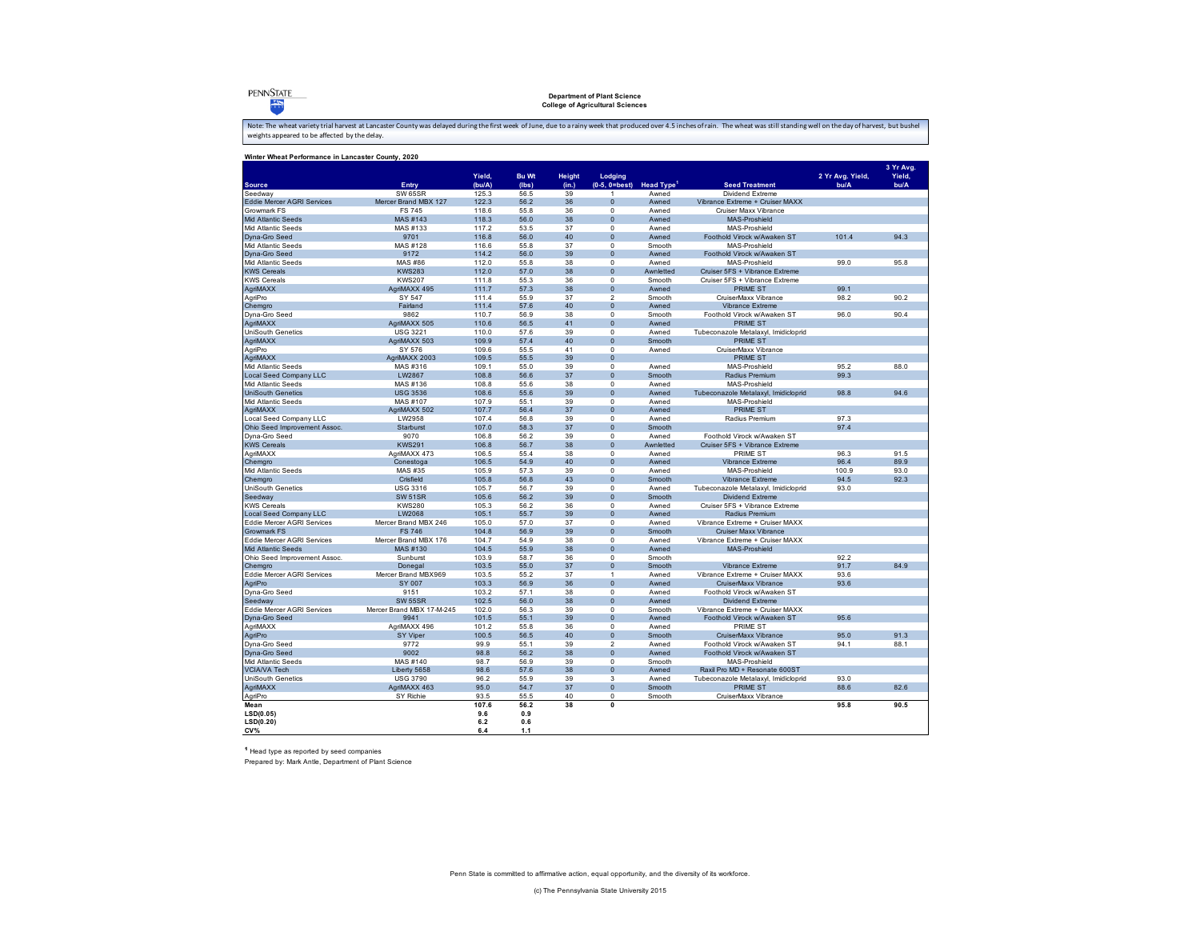**PENNSTATE**  $\frac{V_1}{V_2}$ 

### **Department of Plant Science College of Agricultural Sciences**

Note: The wheat variety trial harvest at Lancaster County was delayed during the first week of June, due to a rainy week that produced over 4.5 inches of rain. The wheat was still standing well on the day of harvest, but b

| Winter Wheat Performance in Lancaster County, 2020 |                                 |                |              |          |                                |                                        |                                                                  |                  |                     |
|----------------------------------------------------|---------------------------------|----------------|--------------|----------|--------------------------------|----------------------------------------|------------------------------------------------------------------|------------------|---------------------|
|                                                    |                                 | Yield.         | <b>Bu Wt</b> | Height   | Lodging                        |                                        |                                                                  | 2 Yr Avg. Yield, | 3 Yr Avg.<br>Yield, |
| <b>Source</b>                                      | Entry                           | (bu/A)         | (Ibs)        | (in.)    |                                | $(0-5, 0=best)$ Head Type <sup>1</sup> | <b>Seed Treatment</b>                                            | bu/A             | bu/A                |
| Seedway<br><b>Eddie Mercer AGRI Services</b>       | SW 65SR<br>Mercer Brand MBX 127 | 125.3          | 56.5         | 39       | 1                              | Awned                                  | Dividend Extreme                                                 |                  |                     |
|                                                    |                                 | 122.3          | 56.2         | 36       | $\mathbf{0}$<br>$\mathbf 0$    | Awned                                  | Vibrance Extreme + Cruiser MAXX                                  |                  |                     |
| Growmark FS                                        | <b>FS 745</b>                   | 118.6          | 55.8         | 36       |                                | Awned                                  | Cruiser Maxx Vibrance                                            |                  |                     |
| Mid Atlantic Seeds                                 | MAS #143                        | 118.3          | 56.0         | 38       | $\mathbf{0}$                   | Awned                                  | MAS-Proshield                                                    |                  |                     |
| Mid Atlantic Seeds<br>Dyna-Gro Seed                | MAS #133                        | 117.2<br>116.8 | 53.5<br>56.0 | 37<br>40 | $\bf 0$<br>$\overline{0}$      | Awned                                  | MAS-Proshield<br>Foothold Virock w/Awaken ST                     | 101.4            | 94.3                |
|                                                    | 9701                            |                |              |          |                                | Awned                                  | MAS-Proshield                                                    |                  |                     |
| Mid Atlantic Seeds                                 | MAS #128                        | 116.6          | 55.8         | 37       | $\bf 0$                        | Smooth                                 |                                                                  |                  |                     |
| Dyna-Gro Seed                                      | 9172                            | 114.2          | 56.0         | 39       | $\mathbf{0}$<br>$\overline{0}$ | Awned                                  | Foothold Virock w/Awaken ST                                      | 99.0             | 95.8                |
| Mid Atlantic Seeds                                 | MAS #86<br><b>KWS283</b>        | 112.0          | 55.8<br>57.0 | 38<br>38 | $\mathbf{0}$                   | Awned<br>Awnletted                     | MAS-Proshield                                                    |                  |                     |
| <b>KWS Cereals</b><br><b>KWS Cereals</b>           | <b>KWS207</b>                   | 112.0<br>111.8 | 55.3         | 36       | $\mathbf 0$                    | Smooth                                 | Cruiser 5FS + Vibrance Extreme<br>Cruiser 5FS + Vibrance Extreme |                  |                     |
|                                                    |                                 |                |              |          |                                |                                        |                                                                  |                  |                     |
| AgriMAXX                                           | AgriMAXX 495                    | 111.7          | 57.3         | 38       | $\mathbf{0}$                   | Awned                                  | <b>PRIME ST</b>                                                  | 99.1             |                     |
| AgriPro                                            | SY 547                          | 111.4          | 55.9         | 37       | $\mathfrak{p}$                 | Smooth                                 | CruiserMaxx Vibrance                                             | 98.2             | 90.2                |
| Chemgro                                            | Fairland                        | 111.4          | 57.6         | 40       | $\bf{0}$                       | Awned                                  | Vibrance Extreme                                                 |                  |                     |
| Dyna-Gro Seed                                      | 9862                            | 110.7          | 56.9         | 38       | $\mathbf 0$                    | Smooth                                 | Foothold Virock w/Awaken ST                                      | 96.0             | 90.4                |
| AgriMAXX                                           | AgriMAXX 505                    | 110.6          | 56.5         | 41       | $\mathbf{0}$                   | Awned                                  | <b>PRIME ST</b>                                                  |                  |                     |
| <b>UniSouth Genetics</b>                           | <b>USG 3221</b>                 | 110.0          | 57.6         | 39       | $\mathbf 0$                    | Awned                                  | Tubeconazole Metalaxyl, Imidicloprid                             |                  |                     |
| AgriMAXX                                           | AgriMAXX 503                    | 109.9          | 57.4         | 40       | $\mathbf{0}$                   | Smooth                                 | <b>PRIME ST</b>                                                  |                  |                     |
| AgriPro                                            | SY 576                          | 109.6          | 55.5         | 41       | $\mathbf 0$                    | Awned                                  | CruiserMaxx Vibrance                                             |                  |                     |
| AgriMAXX                                           | AgriMAXX 2003                   | 109.5          | 55.5         | 39       | $\mathbf{0}$                   |                                        | <b>PRIME ST</b>                                                  |                  |                     |
| Mid Atlantic Seeds                                 | MAS #316                        | 109.1          | 55.0         | 39       | $\mathbf 0$                    | Awned                                  | MAS-Proshield                                                    | 95.2             | 88.0                |
| <b>Local Seed Company LLC</b>                      | LW2867                          | 108.8          | 56.6         | 37       | $\overline{0}$                 | Smooth                                 | Radius Premium                                                   | 99.3             |                     |
| Mid Atlantic Seeds                                 | MAS #136                        | 108.8          | 55.6         | 38       | $\mathbf 0$                    | Awned                                  | MAS-Proshield                                                    |                  |                     |
| <b>UniSouth Genetics</b>                           | <b>USG 3536</b>                 | 108.6          | 55.6         | 39       | $\overline{0}$                 | Awned                                  | Tubeconazole Metalaxyl, Imidicloprid                             | 98.8             | 94.6                |
| Mid Atlantic Seeds                                 | MAS #107                        | 107.9          | 55.1         | 39       | $\overline{0}$                 | Awned                                  | MAS-Proshield                                                    |                  |                     |
| AgriMAXX                                           | AgriMAXX 502                    | 107.7          | 56.4         | 37       | $\mathbf{0}$                   | Awned                                  | <b>PRIME ST</b>                                                  |                  |                     |
| Local Seed Company LLC                             | LW2958                          | 107.4          | 56.8         | 39       | $\mathbf 0$                    | Awned                                  | Radius Premium                                                   | 97.3             |                     |
| Ohio Seed Improvement Assoc.                       | Starburst                       | 107.0          | 58.3         | 37       | $\overline{0}$                 | Smooth                                 |                                                                  | 97.4             |                     |
| Dyna-Gro Seed                                      | 9070                            | 106.8          | 56.2         | 39       | $\mathbf 0$                    | Awned                                  | Foothold Virock w/Awaken ST                                      |                  |                     |
| <b>KWS Cereals</b>                                 | <b>KWS291</b>                   | 106.8          | 56.7         | 38       | $\bf{0}$                       | Awnletted                              | Cruiser 5FS + Vibrance Extreme                                   |                  |                     |
| AgriMAXX                                           | AgriMAXX 473                    | 106.5          | 55.4         | 38       | $\pmb{0}$                      | Awned                                  | <b>PRIME ST</b>                                                  | 96.3             | 91.5                |
| Chemaro                                            | Conestoga                       | 106.5          | 54.9         | 40       | $\overline{0}$                 | Awned                                  | Vibrance Extreme                                                 | 96.4             | 89.9                |
| Mid Atlantic Seeds                                 | MAS #35                         | 105.9          | 57.3         | 39       | $\mathbf 0$                    | Awned                                  | MAS-Proshield                                                    | 100.9            | 93.0                |
| Chemgro                                            | Crisfield                       | 105.8          | 56.8         | 43       | $\mathbf{0}$                   | Smooth                                 | Vibrance Extreme                                                 | 94.5             | 92.3                |
| UniSouth Genetics                                  | <b>USG 3316</b>                 | 105.7          | 56.7         | 39       | $\mathbf 0$                    | Awned                                  | Tubeconazole Metalaxyl, Imidicloprid                             | 93.0             |                     |
| Seedway                                            | <b>SW 51SR</b>                  | 105.6          | 56.2         | 39       | $\mathbf{0}$                   | Smooth                                 | Dividend Extreme                                                 |                  |                     |
| <b>KWS Cereals</b>                                 | <b>KWS280</b>                   | 105.3          | 56.2         | 36       | $\mathbf 0$                    | Awned                                  | Cruiser 5FS + Vibrance Extreme                                   |                  |                     |
| Local Seed Company LLC                             | LW2068                          | 105.1          | 55.7         | 39       | $\mathbf{0}$                   | Awned                                  | Radius Premium                                                   |                  |                     |
| <b>Eddie Mercer AGRI Services</b>                  | Mercer Brand MBX 246            | 105.0          | 57.0         | 37       | $\Omega$                       | Awned                                  | Vibrance Extreme + Cruiser MAXX                                  |                  |                     |
| Growmark FS                                        | <b>FS 746</b>                   | 104.8          | 56.9         | 39       | $\bf{0}$                       | Smooth                                 | Cruiser Maxx Vibrance                                            |                  |                     |
| Eddie Mercer AGRI Services                         | Mercer Brand MBX 176            | 104.7          | 54.9         | 38       | $\mathbf 0$                    | Awned                                  | Vibrance Extreme + Cruiser MAXX                                  |                  |                     |
| Mid Atlantic Seeds                                 | MAS #130                        | 104.5          | 55.9         | 38       | $\overline{0}$                 | Awned                                  | <b>MAS-Proshield</b>                                             |                  |                     |
| Ohio Seed Improvement Assoc.                       | Sunburst                        | 103.9          | 58.7         | 36       | $\mathbf 0$                    | Smooth                                 |                                                                  | 92.2             |                     |
| Chemgro                                            | Donegal                         | 103.5          | 55.0         | 37       | $\pmb{0}$                      | Smooth                                 | Vibrance Extreme                                                 | 91.7             | 84.9                |
| Eddie Mercer AGRI Services                         | Mercer Brand MBX969             | 103.5          | 55.2         | 37       | $\mathbf{1}$                   | Awned                                  | Vibrance Extreme + Cruiser MAXX                                  | 93.6             |                     |
| AgriPro                                            | SY 007                          | 103.3          | 56.9         | 36       | $\overline{0}$                 | Awned                                  | CruiserMaxx Vibrance                                             | 93.6             |                     |
| Dyna-Gro Seed                                      | 9151                            | 103.2          | 57.1         | 38       | $\mathbf 0$                    | Awned                                  | Foothold Virock w/Awaken ST                                      |                  |                     |
| Seedway                                            | <b>SW 55SR</b>                  | 102.5          | 56.0         | 38       | $\mathbf{0}$                   | Awned                                  | <b>Dividend Extreme</b>                                          |                  |                     |
| Eddie Mercer AGRI Services                         | Mercer Brand MBX 17-M-245       | 102.0          | 56.3         | 39       | $\bf 0$                        | Smooth                                 | Vibrance Extreme + Cruiser MAXX                                  |                  |                     |
| Dyna-Gro Seed                                      | 9941                            | 101.5          | 55.1         | 39       | $\overline{0}$                 | Awned                                  | Foothold Virock w/Awaken ST                                      | 95.6             |                     |
| AgriMAXX                                           | AgriMAXX 496                    | 101.2          | 55.8         | 36       | $\mathbf 0$                    | Awned                                  | <b>PRIME ST</b>                                                  |                  |                     |
| AgriPro                                            | <b>SY Viper</b>                 | 100.5          | 56.5         | 40       | $\mathbf{0}$                   | Smooth                                 | CruiserMaxx Vibrance                                             | 95.0             | 91.3                |
| Dyna-Gro Seed                                      | 9772                            | 99.9           | 55.1         | 39       | $\overline{2}$                 | Awned                                  | Foothold Virock w/Awaken ST                                      | 94.1             | 88.1                |
| Dyna-Gro Seed                                      | 9002                            | 98.8           | 56.2         | 38       | $\mathbf{0}$                   | Awned                                  | Foothold Virock w/Awaken ST                                      |                  |                     |
| Mid Atlantic Seeds                                 | MAS #140                        | 98.7           | 56.9         | 39       | $\Omega$                       | Smooth                                 | MAS-Proshield                                                    |                  |                     |
| <b>VCIA/VA Tech</b>                                | Liberty 5658                    | 98.6           | 57.6         | 38       | $\mathbf{0}$                   | Awned                                  | Raxil Pro MD + Resonate 600ST                                    |                  |                     |
| UniSouth Genetics                                  | <b>USG 3790</b>                 | 96.2           | 55.9         | 39       | $\mathbf{3}$                   | Awned                                  | Tubeconazole Metalaxyl, Imidicloprid                             | 93.0             |                     |
| AgriMAXX                                           | AgriMAXX 463                    | 95.0           | 54.7         | 37       | $\pmb{0}$                      | Smooth                                 | <b>PRIME ST</b>                                                  | 88.6             | 82.6                |
| AgriPro                                            | SY Richie                       | 93.5           | 55.5         | 40       | $\mathbf 0$                    | Smooth                                 | CruiserMaxx Vibrance                                             |                  |                     |
| Mean                                               |                                 | 107.6          | 56.2         | 38       | $\overline{\mathbf{0}}$        |                                        |                                                                  | 95.8             | 90.5                |
| LSD(0.05)                                          |                                 | 9.6            | 0.9          |          |                                |                                        |                                                                  |                  |                     |
| LSD(0.20)                                          |                                 | 6.2            | 0.6          |          |                                |                                        |                                                                  |                  |                     |
| CV%                                                |                                 | 6.4            | 1.1          |          |                                |                                        |                                                                  |                  |                     |
|                                                    |                                 |                |              |          |                                |                                        |                                                                  |                  |                     |

1 Head type as reported by seed companies Prepared by: Mark Antle, Department of Plant Science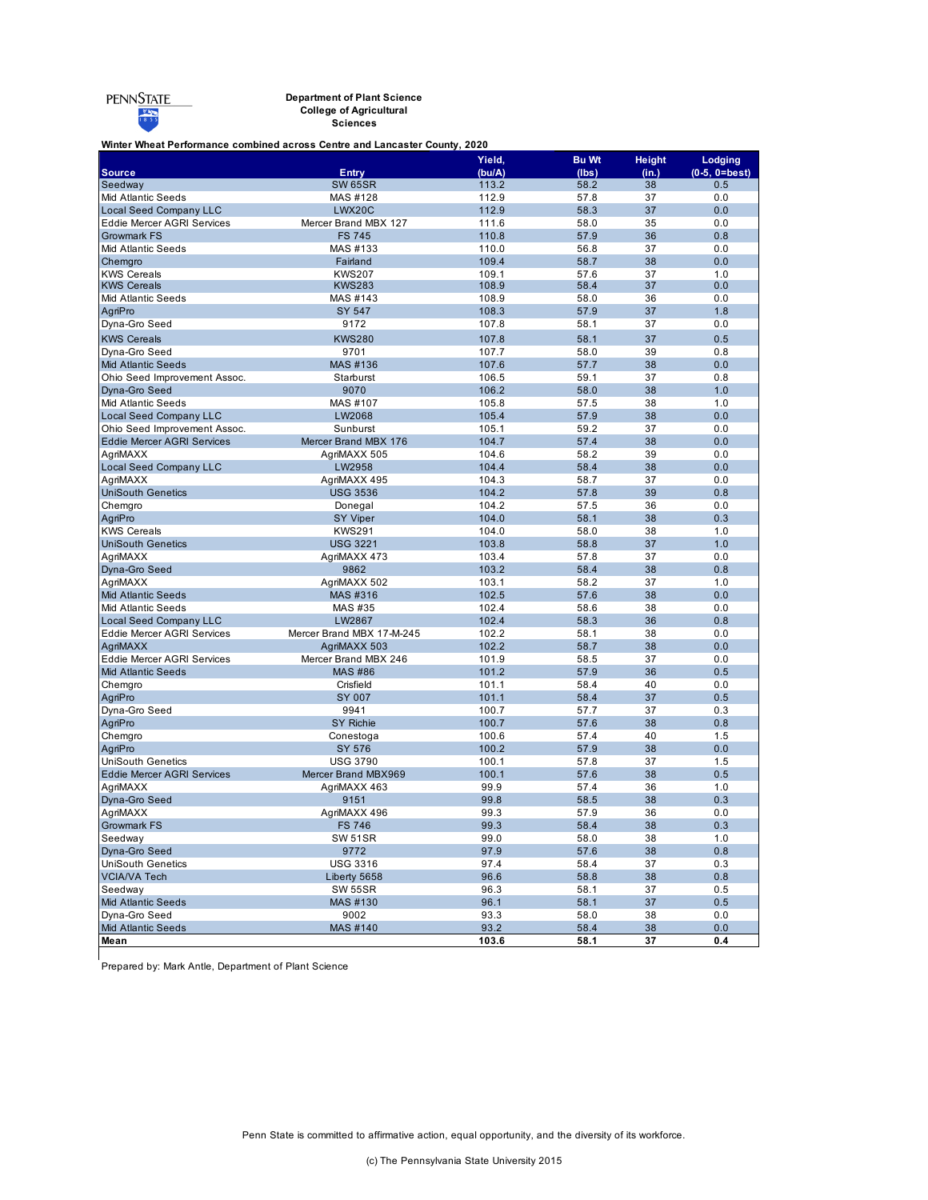#### **Department of Plant Science College of Agricultural**

**Sciences**

### **Winter Wheat Performance combined across Centre and Lancaster County, 2020**

|                                   |                           | Yield, | <b>Bu Wt</b> | <b>Height</b> | Lodging         |
|-----------------------------------|---------------------------|--------|--------------|---------------|-----------------|
| <b>Source</b>                     | <b>Entry</b>              | (bu/A) | (lbs)        | (in.)         | $(0-5, 0=best)$ |
| Seedway                           | <b>SW 65SR</b>            | 113.2  | 58.2         | 38            | 0.5             |
| Mid Atlantic Seeds                | MAS #128                  | 112.9  | 57.8         | 37            | 0.0             |
| <b>Local Seed Company LLC</b>     | LWX20C                    | 112.9  | 58.3         | 37            | 0.0             |
| <b>Eddie Mercer AGRI Services</b> | Mercer Brand MBX 127      | 111.6  | 58.0         | 35            | 0.0             |
| <b>Growmark FS</b>                | <b>FS 745</b>             | 110.8  | 57.9         | 36            | 0.8             |
| Mid Atlantic Seeds                | MAS #133                  | 110.0  | 56.8         | 37            | 0.0             |
| Chemgro                           | Fairland                  | 109.4  | 58.7         | 38            | 0.0             |
| <b>KWS Cereals</b>                | <b>KWS207</b>             | 109.1  | 57.6         | 37            | 1.0             |
| <b>KWS Cereals</b>                | <b>KWS283</b>             | 108.9  | 58.4         | 37            | 0.0             |
| Mid Atlantic Seeds                | MAS #143                  | 108.9  | 58.0         | 36            | 0.0             |
| AgriPro                           | <b>SY 547</b>             | 108.3  | 57.9         | 37            | 1.8             |
| Dyna-Gro Seed                     | 9172                      | 107.8  | 58.1         | 37            | 0.0             |
| <b>KWS Cereals</b>                | <b>KWS280</b>             | 107.8  | 58.1         | 37            | 0.5             |
| Dyna-Gro Seed                     | 9701                      | 107.7  | 58.0         | 39            | 0.8             |
| <b>Mid Atlantic Seeds</b>         | MAS #136                  | 107.6  | 57.7         | 38            | 0.0             |
| Ohio Seed Improvement Assoc.      | Starburst                 | 106.5  | 59.1         | 37            | 0.8             |
| Dyna-Gro Seed                     | 9070                      | 106.2  | 58.0         | 38            | 1.0             |
| <b>Mid Atlantic Seeds</b>         | MAS #107                  | 105.8  | 57.5         | 38            | 1.0             |
| <b>Local Seed Company LLC</b>     | LW2068                    | 105.4  | 57.9         | 38            | 0.0             |
| Ohio Seed Improvement Assoc.      | Sunburst                  | 105.1  | 59.2         | 37            | 0.0             |
| <b>Eddie Mercer AGRI Services</b> | Mercer Brand MBX 176      | 104.7  | 57.4         | 38            | 0.0             |
| AgriMAXX                          | AgriMAXX 505              | 104.6  | 58.2         | 39            | 0.0             |
| <b>Local Seed Company LLC</b>     | LW2958                    | 104.4  | 58.4         | 38            | 0.0             |
| AgriMAXX                          | AgriMAXX 495              | 104.3  | 58.7         | 37            | 0.0             |
| <b>UniSouth Genetics</b>          | <b>USG 3536</b>           | 104.2  | 57.8         | 39            | 0.8             |
| Chemgro                           | Donegal                   | 104.2  | 57.5         | 36            | 0.0             |
| AgriPro                           | <b>SY Viper</b>           | 104.0  | 58.1         | 38            | 0.3             |
| <b>KWS Cereals</b>                | <b>KWS291</b>             | 104.0  | 58.0         | 38            | 1.0             |
| <b>UniSouth Genetics</b>          | <b>USG 3221</b>           | 103.8  | 58.8         | 37            | 1.0             |
| AgriMAXX                          | AgriMAXX 473              | 103.4  | 57.8         | 37            | 0.0             |
| Dyna-Gro Seed                     | 9862                      | 103.2  | 58.4         | 38            | 0.8             |
| AgriMAXX                          | AgriMAXX 502              | 103.1  | 58.2         | 37            | 1.0             |
| <b>Mid Atlantic Seeds</b>         | MAS #316                  | 102.5  | 57.6         | 38            | 0.0             |
| <b>Mid Atlantic Seeds</b>         | MAS #35                   | 102.4  | 58.6         | 38            | 0.0             |
| <b>Local Seed Company LLC</b>     | LW2867                    | 102.4  | 58.3         | 36            | 0.8             |
| <b>Eddie Mercer AGRI Services</b> | Mercer Brand MBX 17-M-245 | 102.2  | 58.1         | 38            | 0.0             |
| AgriMAXX                          | AgriMAXX 503              | 102.2  | 58.7         | 38            | 0.0             |
| <b>Eddie Mercer AGRI Services</b> | Mercer Brand MBX 246      | 101.9  | 58.5         | 37            | 0.0             |
| <b>Mid Atlantic Seeds</b>         | <b>MAS #86</b>            | 101.2  | 57.9         | 36            | 0.5             |
| Chemgro                           | Crisfield                 | 101.1  | 58.4         | 40            | 0.0             |
| AgriPro                           | SY 007                    | 101.1  | 58.4         | 37            | 0.5             |
| Dyna-Gro Seed                     | 9941                      | 100.7  | 57.7         | 37            | 0.3             |
| AgriPro                           | <b>SY Richie</b>          | 100.7  | 57.6         | 38            | 0.8             |
| Chemgro                           | Conestoga                 | 100.6  | 57.4         | 40            | 1.5             |
| AgriPro                           | SY 576                    | 100.2  | 57.9         | 38            | 0.0             |
| <b>UniSouth Genetics</b>          | <b>USG 3790</b>           | 100.1  | 57.8         | 37            | 1.5             |
| <b>Eddie Mercer AGRI Services</b> | Mercer Brand MBX969       | 100.1  | 57.6         | 38            | 0.5             |
| AgriMAXX                          | AgriMAXX 463              | 99.9   | 57.4         | 36            | 1.0             |
| Dyna-Gro Seed                     | 9151                      | 99.8   | 58.5         | 38            | 0.3             |
| AgriMAXX                          | AgriMAXX 496              | 99.3   | 57.9         | 36            | 0.0             |
| <b>Growmark FS</b>                | <b>FS 746</b>             | 99.3   | 58.4         | 38            | 0.3             |
| Seedway                           | <b>SW 51SR</b>            | 99.0   | 58.0         | 38            | 1.0             |
| Dyna-Gro Seed                     | 9772                      | 97.9   | 57.6         | 38            | 0.8             |
| <b>UniSouth Genetics</b>          | <b>USG 3316</b>           | 97.4   | 58.4         | 37            | 0.3             |
| <b>VCIA/VA Tech</b>               | Liberty 5658              | 96.6   | 58.8         | 38            | 0.8             |
| Seedway                           | <b>SW 55SR</b>            | 96.3   | 58.1         | 37            | 0.5             |
| <b>Mid Atlantic Seeds</b>         | MAS #130                  | 96.1   | 58.1         | 37            | 0.5             |
| Dyna-Gro Seed                     | 9002                      | 93.3   | 58.0         | 38            | $0.0\,$         |
| <b>Mid Atlantic Seeds</b>         | MAS #140                  | 93.2   | 58.4         | 38            | 0.0             |
| Mean                              |                           | 103.6  | 58.1         | 37            | 0.4             |

Prepared by: Mark Antle, Department of Plant Science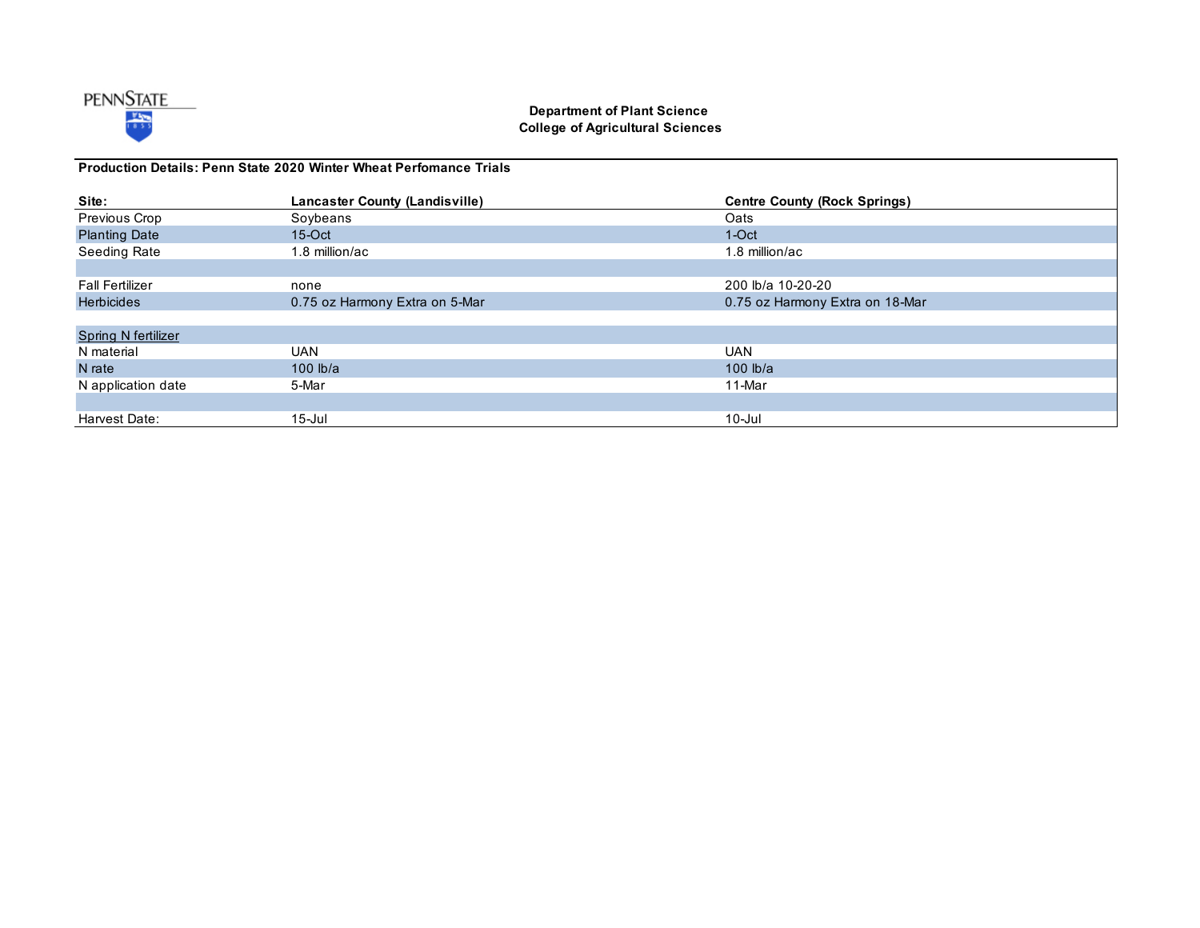

## **Department of Plant Science College of Agricultural Sciences**

| <b>Production Details: Penn State 2020 Winter Wheat Perfomance Trials</b> |                                       |                                     |  |  |  |
|---------------------------------------------------------------------------|---------------------------------------|-------------------------------------|--|--|--|
| Site:                                                                     | <b>Lancaster County (Landisville)</b> | <b>Centre County (Rock Springs)</b> |  |  |  |
| Previous Crop                                                             | Soybeans                              | Oats                                |  |  |  |
| <b>Planting Date</b>                                                      | $15$ -Oct                             | $1-Oct$                             |  |  |  |
| Seeding Rate                                                              | 1.8 million/ac                        | 1.8 million/ac                      |  |  |  |
|                                                                           |                                       |                                     |  |  |  |
| <b>Fall Fertilizer</b>                                                    | none                                  | 200 lb/a 10-20-20                   |  |  |  |
| <b>Herbicides</b>                                                         | 0.75 oz Harmony Extra on 5-Mar        | 0.75 oz Harmony Extra on 18-Mar     |  |  |  |
|                                                                           |                                       |                                     |  |  |  |
| <b>Spring N fertilizer</b>                                                |                                       |                                     |  |  |  |
| N material                                                                | <b>UAN</b>                            | <b>UAN</b>                          |  |  |  |
| N rate                                                                    | 100 $lb/a$                            | 100 $ b/a $                         |  |  |  |
| N application date                                                        | 5-Mar                                 | 11-Mar                              |  |  |  |
|                                                                           |                                       |                                     |  |  |  |
| Harvest Date:                                                             | $15$ -Jul                             | $10$ -Jul                           |  |  |  |